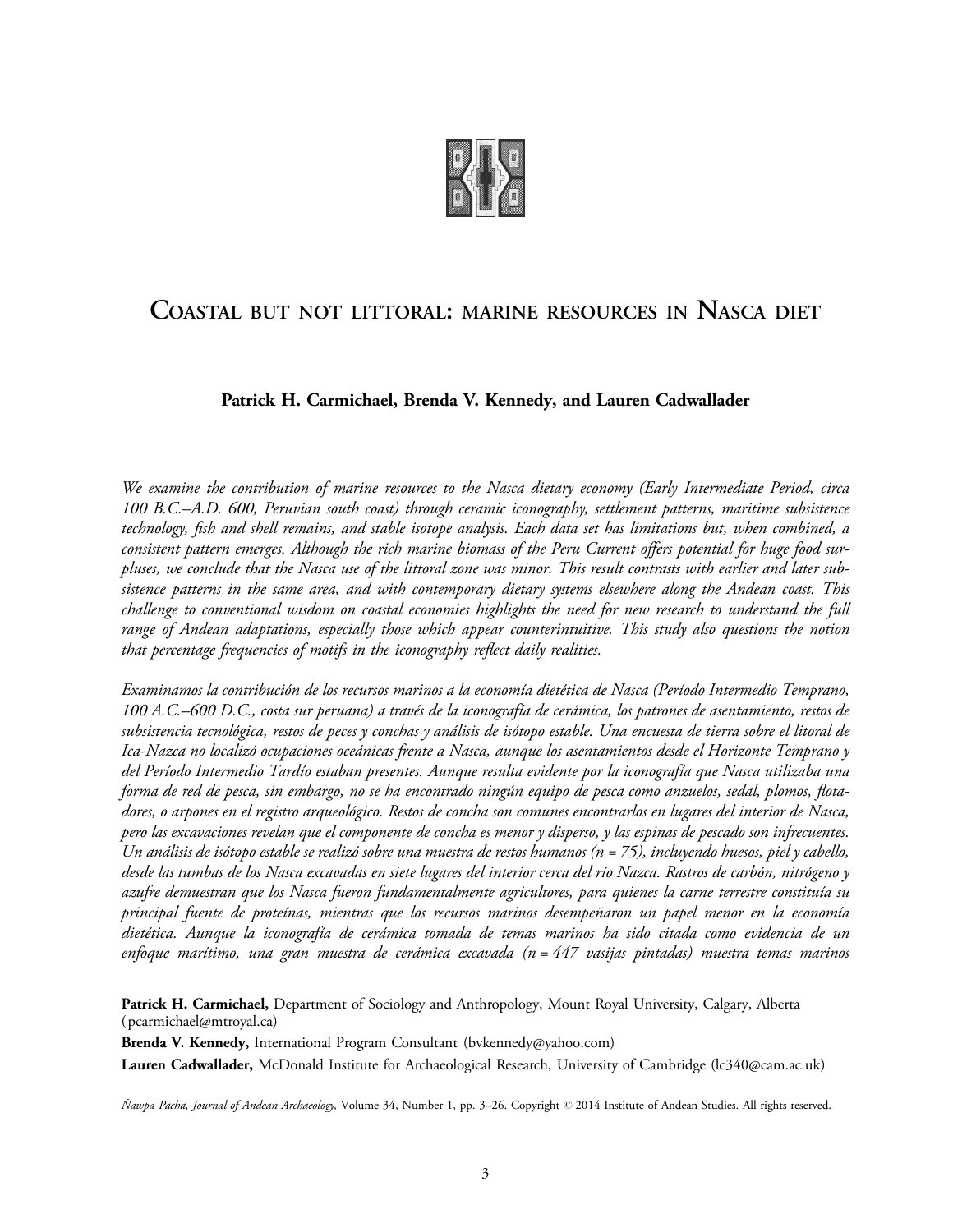

# COASTAL BUT NOT LITTORAL: MARINE RESOURCES IN NASCA DIET

#### Patrick H. Carmichael, Brenda V. Kennedy, and Lauren Cadwallader

We examine the contribution of marine resources to the Nasca dietary economy (Early Intermediate Period, circa 100 B.C.–A.D. 600, Peruvian south coast) through ceramic iconography, settlement patterns, maritime subsistence technology, fish and shell remains, and stable isotope analysis. Each data set has limitations but, when combined, a consistent pattern emerges. Although the rich marine biomass of the Peru Current offers potential for huge food surpluses, we conclude that the Nasca use of the littoral zone was minor. This result contrasts with earlier and later subsistence patterns in the same area, and with contemporary dietary systems elsewhere along the Andean coast. This challenge to conventional wisdom on coastal economies highlights the need for new research to understand the full range of Andean adaptations, especially those which appear counterintuitive. This study also questions the notion that percentage frequencies of motifs in the iconography reflect daily realities.

Examinamos la contribución de los recursos marinos a la economía dietética de Nasca (Período Intermedio Temprano, 100 A.C.–600 D.C., costa sur peruana) a través de la iconografía de cerámica, los patrones de asentamiento, restos de subsistencia tecnológica, restos de peces y conchas y análisis de isótopo estable. Una encuesta de tierra sobre el litoral de Ica-Nazca no localizó ocupaciones oceánicas frente a Nasca, aunque los asentamientos desde el Horizonte Temprano y del Período Intermedio Tardío estaban presentes. Aunque resulta evidente por la iconografía que Nasca utilizaba una forma de red de pesca, sin embargo, no se ha encontrado ningún equipo de pesca como anzuelos, sedal, plomos, flotadores, o arpones en el registro arqueológico. Restos de concha son comunes encontrarlos en lugares del interior de Nasca, pero las excavaciones revelan que el componente de concha es menor y disperso, y las espinas de pescado son infrecuentes. Un análisis de isótopo estable se realizó sobre una muestra de restos humanos (n = 75), incluyendo huesos, piel y cabello, desde las tumbas de los Nasca excavadas en siete lugares del interior cerca del río Nazca. Rastros de carbón, nitrógeno y azufre demuestran que los Nasca fueron fundamentalmente agricultores, para quienes la carne terrestre constituía su principal fuente de proteínas, mientras que los recursos marinos desempeñaron un papel menor en la economía dietética. Aunque la iconografía de cerámica tomada de temas marinos ha sido citada como evidencia de un enfoque marítimo, una gran muestra de cerámica excavada (n = 447 vasijas pintadas) muestra temas marinos

Patrick H. Carmichael, Department of Sociology and Anthropology, Mount Royal University, Calgary, Alberta [\( pcarmichael@mtroyal.ca](mailto:pcarmichael@mtroyal.ca))

Brenda V. Kennedy, International Program Consultant ([bvkennedy@yahoo.com\)](mailto:bvkennedy@yahoo.com)

Lauren Cadwallader, McDonald Institute for Archaeological Research, University of Cambridge ([lc340@cam.ac.uk](mailto:lc340@cam.ac.uk))

Nawpa Pacha, Journal of Andean Archaeology, Volume 34, Number 1, pp. 3-26. Copyright @ 2014 Institute of Andean Studies. All rights reserved.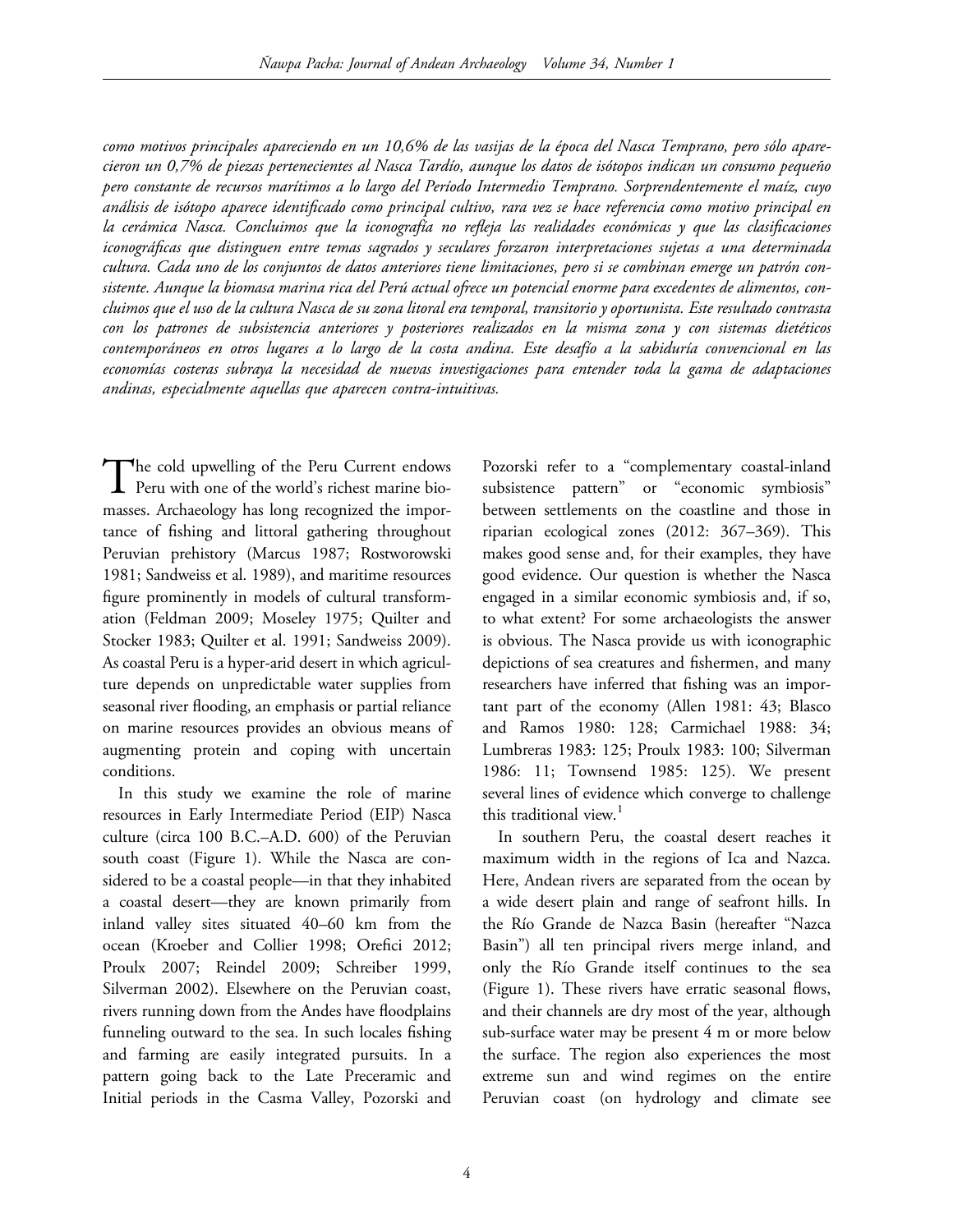como motivos principales apareciendo en un 10,6% de las vasijas de la época del Nasca Temprano, pero sólo aparecieron un 0,7% de piezas pertenecientes al Nasca Tardío, aunque los datos de isótopos indican un consumo pequeño pero constante de recursos marítimos a lo largo del Período Intermedio Temprano. Sorprendentemente el maíz, cuyo análisis de isótopo aparece identificado como principal cultivo, rara vez se hace referencia como motivo principal en la cerámica Nasca. Concluimos que la iconografía no refleja las realidades económicas y que las clasificaciones iconográficas que distinguen entre temas sagrados y seculares forzaron interpretaciones sujetas a una determinada cultura. Cada uno de los conjuntos de datos anteriores tiene limitaciones, pero si se combinan emerge un patrón consistente. Aunque la biomasa marina rica del Perú actual ofrece un potencial enorme para excedentes de alimentos, concluimos que el uso de la cultura Nasca de su zona litoral era temporal, transitorio y oportunista. Este resultado contrasta con los patrones de subsistencia anteriores y posteriores realizados en la misma zona y con sistemas dietéticos contemporáneos en otros lugares a lo largo de la costa andina. Este desafío a la sabiduría convencional en las economías costeras subraya la necesidad de nuevas investigaciones para entender toda la gama de adaptaciones andinas, especialmente aquellas que aparecen contra-intuitivas.

The cold upwelling of the Peru Current endows<br>Peru with one of the world's richest marine biomasses. Archaeology has long recognized the importance of fishing and littoral gathering throughout Peruvian prehistory ([Marcus 1987](#page-20-0); [Rostworowski](#page-22-0) [1981; Sandweiss et al. 1989\)](#page-22-0), and maritime resources figure prominently in models of cultural transformation [\(Feldman 2009](#page-19-0); [Moseley 1975](#page-20-0); [Quilter and](#page-21-0) [Stocker 1983; Quilter et al. 1991;](#page-21-0) [Sandweiss 2009\)](#page-22-0). As coastal Peru is a hyper-arid desert in which agriculture depends on unpredictable water supplies from seasonal river flooding, an emphasis or partial reliance on marine resources provides an obvious means of augmenting protein and coping with uncertain conditions.

In this study we examine the role of marine resources in Early Intermediate Period (EIP) Nasca culture (circa 100 B.C.–A.D. 600) of the Peruvian south coast (Figure [1](#page-2-0)). While the Nasca are considered to be a coastal people—in that they inhabited a coastal desert—they are known primarily from inland valley sites situated 40–60 km from the ocean [\(Kroeber and Collier 1998;](#page-20-0) Orefi[ci 2012](#page-21-0); [Proulx 2007; Reindel 2009;](#page-21-0) [Schreiber 1999](#page-22-0), [Silverman 2002](#page-22-0)). Elsewhere on the Peruvian coast, rivers running down from the Andes have floodplains funneling outward to the sea. In such locales fishing and farming are easily integrated pursuits. In a pattern going back to the Late Preceramic and Initial periods in the Casma Valley, Pozorski and Pozorski refer to a "complementary coastal-inland subsistence pattern" or "economic symbiosis" between settlements on the coastline and those in riparian ecological zones (2012: 367–369). This makes good sense and, for their examples, they have good evidence. Our question is whether the Nasca engaged in a similar economic symbiosis and, if so, to what extent? For some archaeologists the answer is obvious. The Nasca provide us with iconographic depictions of sea creatures and fishermen, and many researchers have inferred that fishing was an important part of the economy ([Allen 1981:](#page-17-0) 43; [Blasco](#page-18-0) [and Ramos 1980:](#page-18-0) 128; [Carmichael 1988](#page-18-0): 34; [Lumbreras 1983](#page-20-0): 125; [Proulx 1983:](#page-21-0) 100; [Silverman](#page-22-0) [1986:](#page-22-0) 11; [Townsend 1985](#page-23-0): 125). We present several lines of evidence which converge to challenge this traditional view.<sup>1</sup>

In southern Peru, the coastal desert reaches it maximum width in the regions of Ica and Nazca. Here, Andean rivers are separated from the ocean by a wide desert plain and range of seafront hills. In the Río Grande de Nazca Basin (hereafter "Nazca Basin") all ten principal rivers merge inland, and only the Río Grande itself continues to the sea (Figure [1](#page-2-0)). These rivers have erratic seasonal flows, and their channels are dry most of the year, although sub-surface water may be present 4 m or more below the surface. The region also experiences the most extreme sun and wind regimes on the entire Peruvian coast (on hydrology and climate see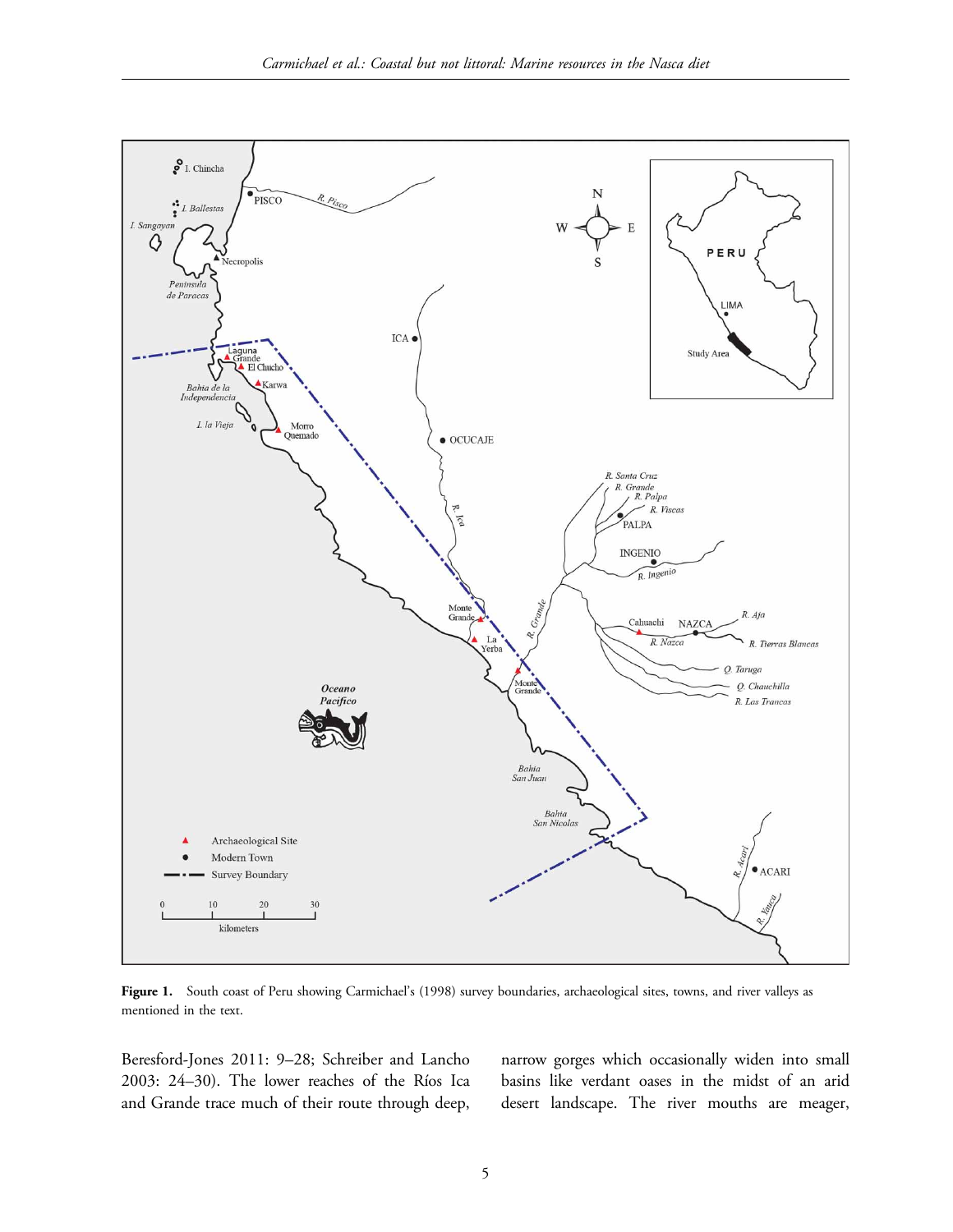<span id="page-2-0"></span>

Figure 1. South coast of Peru showing Carmichael's (1998) survey boundaries, archaeological sites, towns, and river valleys as mentioned in the text.

[Beresford-Jones 2011](#page-18-0): 9–28; [Schreiber and Lancho](#page-22-0) [2003](#page-22-0): 24–30). The lower reaches of the Ríos Ica and Grande trace much of their route through deep, narrow gorges which occasionally widen into small basins like verdant oases in the midst of an arid desert landscape. The river mouths are meager,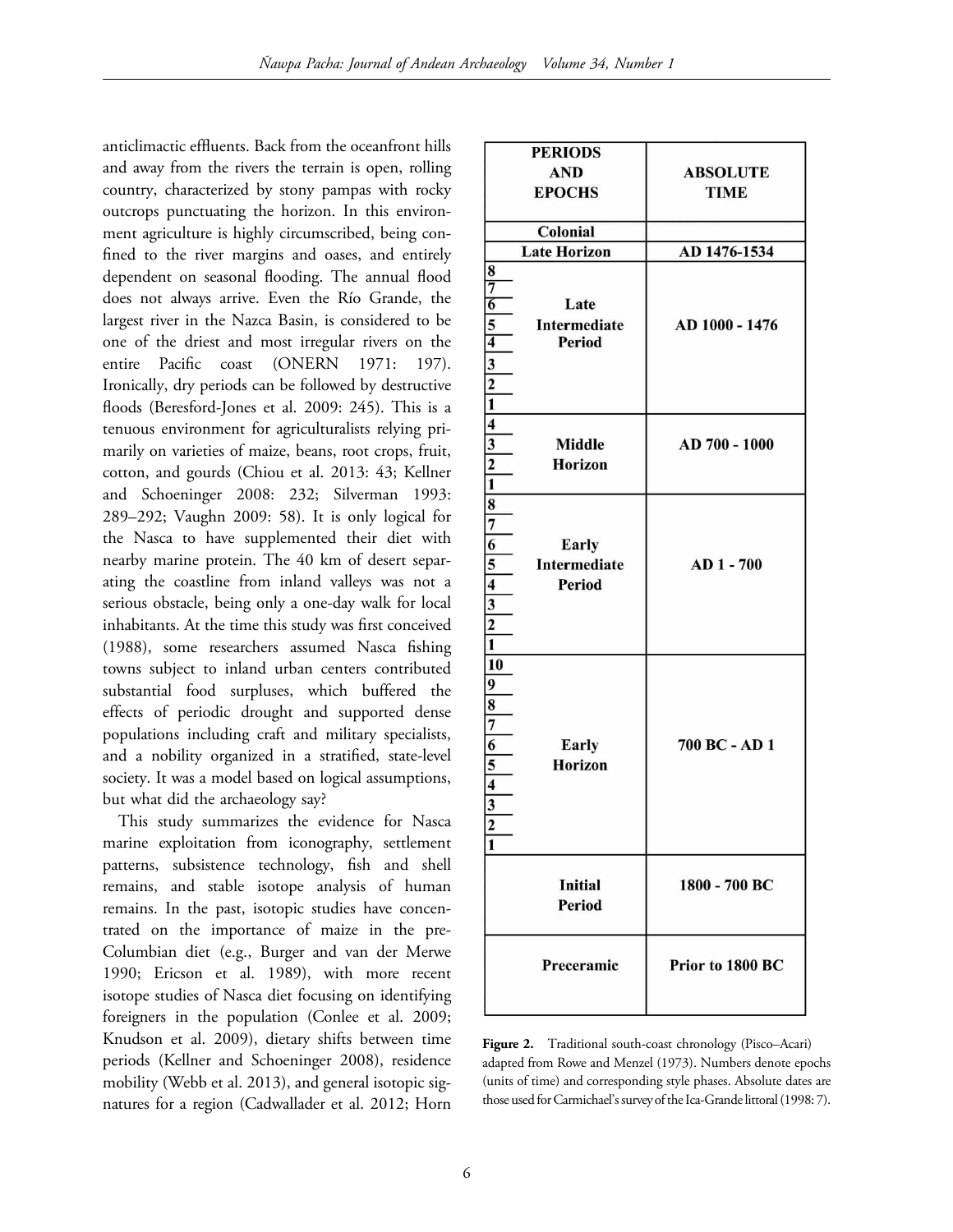<span id="page-3-0"></span>anticlimactic effluents. Back from the oceanfront hills and away from the rivers the terrain is open, rolling country, characterized by stony pampas with rocky outcrops punctuating the horizon. In this environment agriculture is highly circumscribed, being confined to the river margins and oases, and entirely dependent on seasonal flooding. The annual flood does not always arrive. Even the Río Grande, the largest river in the Nazca Basin, is considered to be one of the driest and most irregular rivers on the entire Pacific coast ([ONERN 1971](#page-18-0): 197). Ironically, dry periods can be followed by destructive floods [\(Beresford-Jones et al. 2009](#page-18-0): 245). This is a tenuous environment for agriculturalists relying primarily on varieties of maize, beans, root crops, fruit, cotton, and gourds ([Chiou et al. 2013:](#page-18-0) 43; [Kellner](#page-20-0) [and Schoeninger 2008:](#page-20-0) 232; [Silverman 1993](#page-22-0): 289–292; [Vaughn 2009:](#page-23-0) 58). It is only logical for the Nasca to have supplemented their diet with nearby marine protein. The 40 km of desert separating the coastline from inland valleys was not a serious obstacle, being only a one-day walk for local inhabitants. At the time this study was first conceived (1988), some researchers assumed Nasca fishing towns subject to inland urban centers contributed substantial food surpluses, which buffered the effects of periodic drought and supported dense populations including craft and military specialists, and a nobility organized in a stratified, state-level society. It was a model based on logical assumptions, but what did the archaeology say?

This study summarizes the evidence for Nasca marine exploitation from iconography, settlement patterns, subsistence technology, fish and shell remains, and stable isotope analysis of human remains. In the past, isotopic studies have concentrated on the importance of maize in the pre-Columbian diet (e.g., [Burger and van der Merwe](#page-18-0) [1990;](#page-18-0) [Ericson et al. 1989\)](#page-19-0), with more recent isotope studies of Nasca diet focusing on identifying foreigners in the population ([Conlee et al. 2009](#page-18-0); [Knudson et al. 2009](#page-20-0)), dietary shifts between time periods [\(Kellner and Schoeninger 2008](#page-20-0)), residence mobility ([Webb et al. 2013\)](#page-23-0), and general isotopic signatures for a region [\(Cadwallader et al. 2012;](#page-18-0) [Horn](#page-20-0)

|                                                                                                                               | <b>PERIODS</b>                |                  |
|-------------------------------------------------------------------------------------------------------------------------------|-------------------------------|------------------|
|                                                                                                                               | <b>AND</b>                    | <b>ABSOLUTE</b>  |
|                                                                                                                               | <b>EPOCHS</b>                 | <b>TIME</b>      |
|                                                                                                                               |                               |                  |
|                                                                                                                               | Colonial                      |                  |
|                                                                                                                               | <b>Late Horizon</b>           | AD 1476-1534     |
| 8                                                                                                                             |                               |                  |
| $\overline{7}$                                                                                                                |                               |                  |
| $\overline{6}$                                                                                                                | Late                          |                  |
| $\frac{5}{4}$                                                                                                                 | Intermediate<br><b>Period</b> | AD 1000 - 1476   |
|                                                                                                                               |                               |                  |
| $\frac{3}{2}$                                                                                                                 |                               |                  |
|                                                                                                                               |                               |                  |
|                                                                                                                               |                               |                  |
|                                                                                                                               |                               |                  |
|                                                                                                                               | <b>Middle</b>                 | AD 700 - 1000    |
|                                                                                                                               | <b>Horizon</b>                |                  |
|                                                                                                                               |                               |                  |
|                                                                                                                               |                               |                  |
|                                                                                                                               |                               |                  |
|                                                                                                                               | <b>Early</b>                  |                  |
|                                                                                                                               | <b>Intermediate</b>           | AD 1 - 700       |
| $\frac{4}{3}$ $\frac{3}{2}$ $\frac{1}{1}$ $\frac{8}{3}$ $\frac{7}{2}$ $\frac{6}{4}$ $\frac{5}{3}$ $\frac{4}{2}$ $\frac{3}{1}$ | Period                        |                  |
|                                                                                                                               |                               |                  |
|                                                                                                                               |                               |                  |
|                                                                                                                               |                               |                  |
| 10                                                                                                                            |                               |                  |
| 9                                                                                                                             |                               |                  |
| $\overline{\mathbf{8}}$                                                                                                       |                               |                  |
| $\overline{7}$                                                                                                                |                               |                  |
| $\overline{6}$                                                                                                                | <b>Early</b>                  | 700 BC - AD 1    |
|                                                                                                                               | <b>Horizon</b>                |                  |
| $\frac{5}{4}$ $\frac{3}{2}$                                                                                                   |                               |                  |
|                                                                                                                               |                               |                  |
|                                                                                                                               |                               |                  |
| 1                                                                                                                             |                               |                  |
|                                                                                                                               |                               |                  |
|                                                                                                                               | <b>Initial</b>                | 1800 - 700 BC    |
|                                                                                                                               | <b>Period</b>                 |                  |
|                                                                                                                               |                               |                  |
|                                                                                                                               |                               |                  |
|                                                                                                                               | Preceramic                    | Prior to 1800 BC |
|                                                                                                                               |                               |                  |
|                                                                                                                               |                               |                  |

Figure 2. Traditional south-coast chronology (Pisco–Acari) adapted from [Rowe and Menzel \(1973\).](#page-22-0) Numbers denote epochs (units of time) and corresponding style phases. Absolute dates are those used for Carmichael's survey of the Ica-Grande littoral (1998: 7).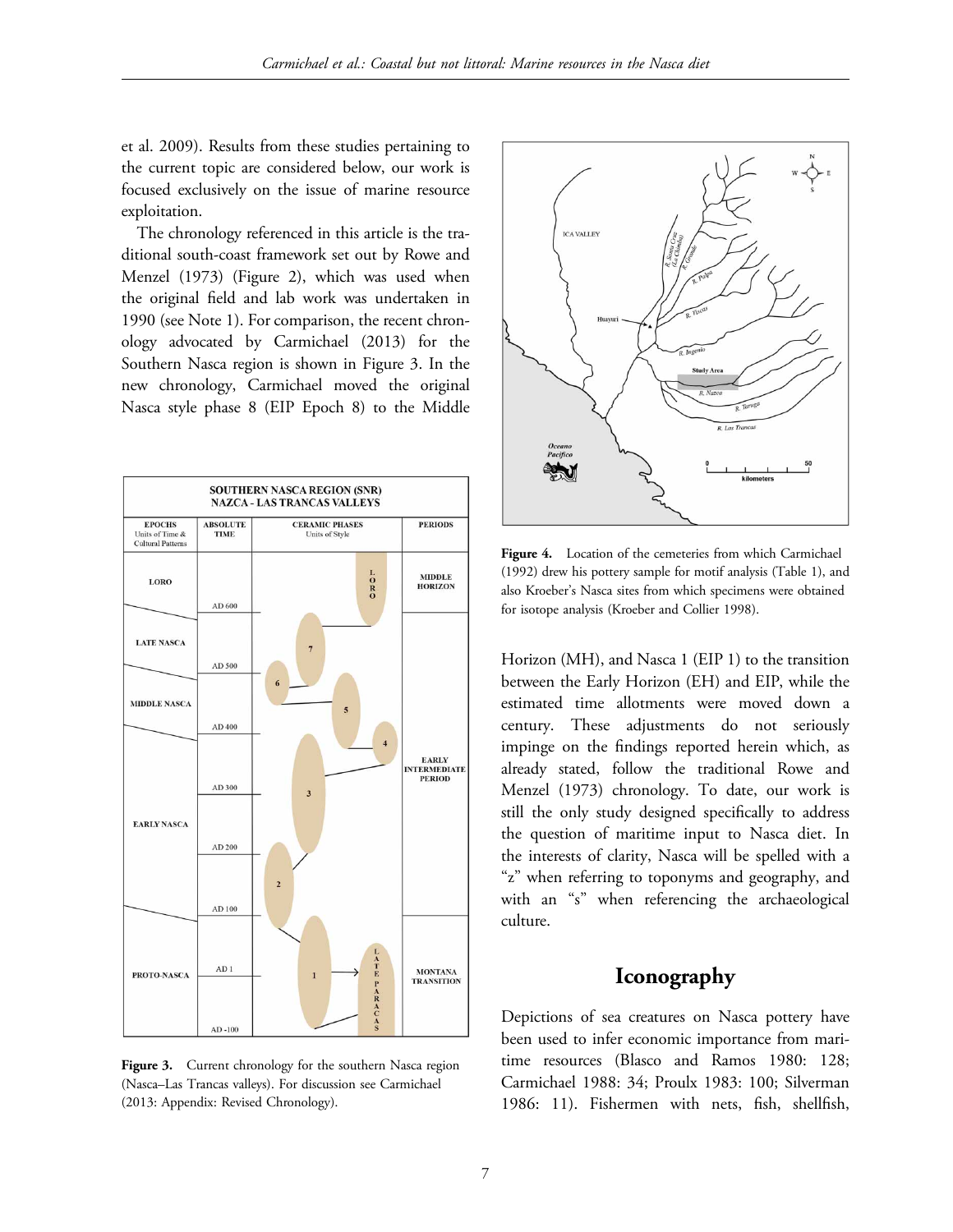<span id="page-4-0"></span>[et al. 2009](#page-20-0)). Results from these studies pertaining to the current topic are considered below, our work is focused exclusively on the issue of marine resource exploitation.

The chronology referenced in this article is the traditional south-coast framework set out by [Rowe and](#page-22-0) [Menzel \(1973\)](#page-22-0) (Figure [2\)](#page-3-0), which was used when the original field and lab work was undertaken in 1990 (see Note 1). For comparison, the recent chronology advocated by [Carmichael \(2013\)](#page-18-0) for the Southern Nasca region is shown in Figure 3. In the new chronology, Carmichael moved the original Nasca style phase 8 (EIP Epoch 8) to the Middle



Figure 3. Current chronology for the southern Nasca region (Nasca–Las Trancas valleys). For discussion see [Carmichael](#page-18-0) [\(2013:](#page-18-0) Appendix: Revised Chronology).



Figure 4. Location of the cemeteries from which [Carmichael](#page-18-0) [\(1992\)](#page-18-0) drew his pottery sample for motif analysis (Table 1), and also Kroeber's Nasca sites from which specimens were obtained for isotope analysis [\(Kroeber and Collier 1998](#page-20-0)).

Horizon (MH), and Nasca 1 (EIP 1) to the transition between the Early Horizon (EH) and EIP, while the estimated time allotments were moved down a century. These adjustments do not seriously impinge on the findings reported herein which, as already stated, follow the traditional [Rowe and](#page-22-0) [Menzel \(1973\)](#page-22-0) chronology. To date, our work is still the only study designed specifically to address the question of maritime input to Nasca diet. In the interests of clarity, Nasca will be spelled with a "z" when referring to toponyms and geography, and with an "s" when referencing the archaeological culture.

# Iconography

Depictions of sea creatures on Nasca pottery have been used to infer economic importance from maritime resources [\(Blasco and Ramos 1980:](#page-18-0) 128; [Carmichael 1988](#page-18-0): 34; [Proulx 1983](#page-21-0): 100; [Silverman](#page-22-0) [1986](#page-22-0): 11). Fishermen with nets, fish, shellfish,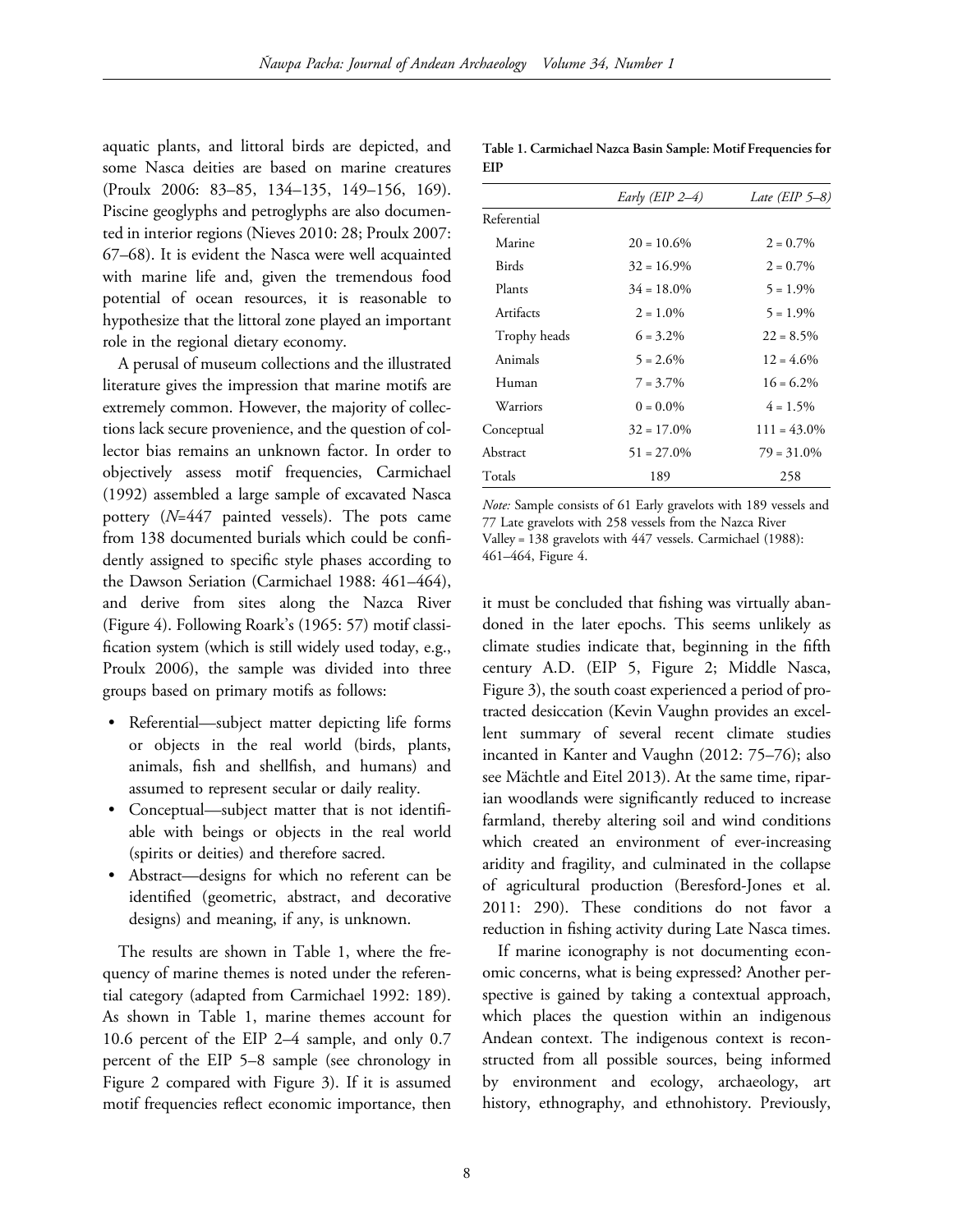<span id="page-5-0"></span>aquatic plants, and littoral birds are depicted, and some Nasca deities are based on marine creatures [\(Proulx 2006:](#page-21-0) 83–85, 134–135, 149–156, 169). Piscine geoglyphs and petroglyphs are also documented in interior regions ([Nieves 2010](#page-20-0): 28; [Proulx 2007](#page-21-0): 67–68). It is evident the Nasca were well acquainted with marine life and, given the tremendous food potential of ocean resources, it is reasonable to hypothesize that the littoral zone played an important role in the regional dietary economy.

A perusal of museum collections and the illustrated literature gives the impression that marine motifs are extremely common. However, the majority of collections lack secure provenience, and the question of collector bias remains an unknown factor. In order to objectively assess motif frequencies, [Carmichael](#page-18-0) [\(1992\)](#page-18-0) assembled a large sample of excavated Nasca pottery (N=447 painted vessels). The pots came from 138 documented burials which could be confidently assigned to specific style phases according to the Dawson Seriation [\(Carmichael 1988:](#page-18-0) 461–464), and derive from sites along the Nazca River (Figure [4](#page-4-0)). Following Roark's (1965: 57) motif classification system (which is still widely used today, e.g., [Proulx 2006\)](#page-21-0), the sample was divided into three groups based on primary motifs as follows:

- Referential—subject matter depicting life forms or objects in the real world (birds, plants, animals, fish and shellfish, and humans) and assumed to represent secular or daily reality.
- Conceptual—subject matter that is not identifiable with beings or objects in the real world (spirits or deities) and therefore sacred.
- Abstract—designs for which no referent can be identified (geometric, abstract, and decorative designs) and meaning, if any, is unknown.

The results are shown in Table 1, where the frequency of marine themes is noted under the referential category (adapted from [Carmichael 1992:](#page-18-0) 189). As shown in Table 1, marine themes account for 10.6 percent of the EIP 2–4 sample, and only 0.7 percent of the EIP 5–8 sample (see chronology in Figure [2](#page-3-0) compared with Figure [3\)](#page-4-0). If it is assumed motif frequencies reflect economic importance, then

|              | Early (EIP 2–4) | Late (EIP $5-8$ ) |
|--------------|-----------------|-------------------|
| Referential  |                 |                   |
| Marine       | $20 = 10.6\%$   | $2 = 0.7\%$       |
| <b>Birds</b> | $32 = 16.9\%$   | $2 = 0.7\%$       |
| Plants       | $34 = 18.0\%$   | $5 = 1.9\%$       |
| Artifacts    | $2 = 1.0\%$     | $5 = 1.9\%$       |
| Trophy heads | $6 = 3.2\%$     | $22 = 8.5\%$      |
| Animals      | $5 = 2.6\%$     | $12 = 4.6\%$      |
| Human        | $7 = 3.7\%$     | $16 = 6.2\%$      |
| Warriors     | $0 = 0.0\%$     | $4 = 1.5\%$       |
| Conceptual   | $32 = 17.0\%$   | $111 = 43.0\%$    |
| Abstract     | $51 = 27.0\%$   | $79 = 31.0\%$     |
| Totals       | 189             | 258               |

Table 1. Carmichael Nazca Basin Sample: Motif Frequencies for EIP

Note: Sample consists of 61 Early gravelots with 189 vessels and 77 Late gravelots with 258 vessels from the Nazca River Valley = 138 gravelots with 447 vessels. [Carmichael \(1988\)](#page-18-0): 461–464, Figure [4.](#page-4-0)

it must be concluded that fishing was virtually abandoned in the later epochs. This seems unlikely as climate studies indicate that, beginning in the fifth century A.D. (EIP 5, Figure [2](#page-3-0); Middle Nasca, Figure [3\)](#page-4-0), the south coast experienced a period of protracted desiccation (Kevin Vaughn provides an excellent summary of several recent climate studies incanted in Kanter and Vaughn (2012: 75–76); also see Mächtle and Eitel 2013). At the same time, riparian woodlands were significantly reduced to increase farmland, thereby altering soil and wind conditions which created an environment of ever-increasing aridity and fragility, and culminated in the collapse of agricultural production ([Beresford-Jones et al.](#page-18-0) [2011:](#page-18-0) 290). These conditions do not favor a reduction in fishing activity during Late Nasca times.

If marine iconography is not documenting economic concerns, what is being expressed? Another perspective is gained by taking a contextual approach, which places the question within an indigenous Andean context. The indigenous context is reconstructed from all possible sources, being informed by environment and ecology, archaeology, art history, ethnography, and ethnohistory. Previously,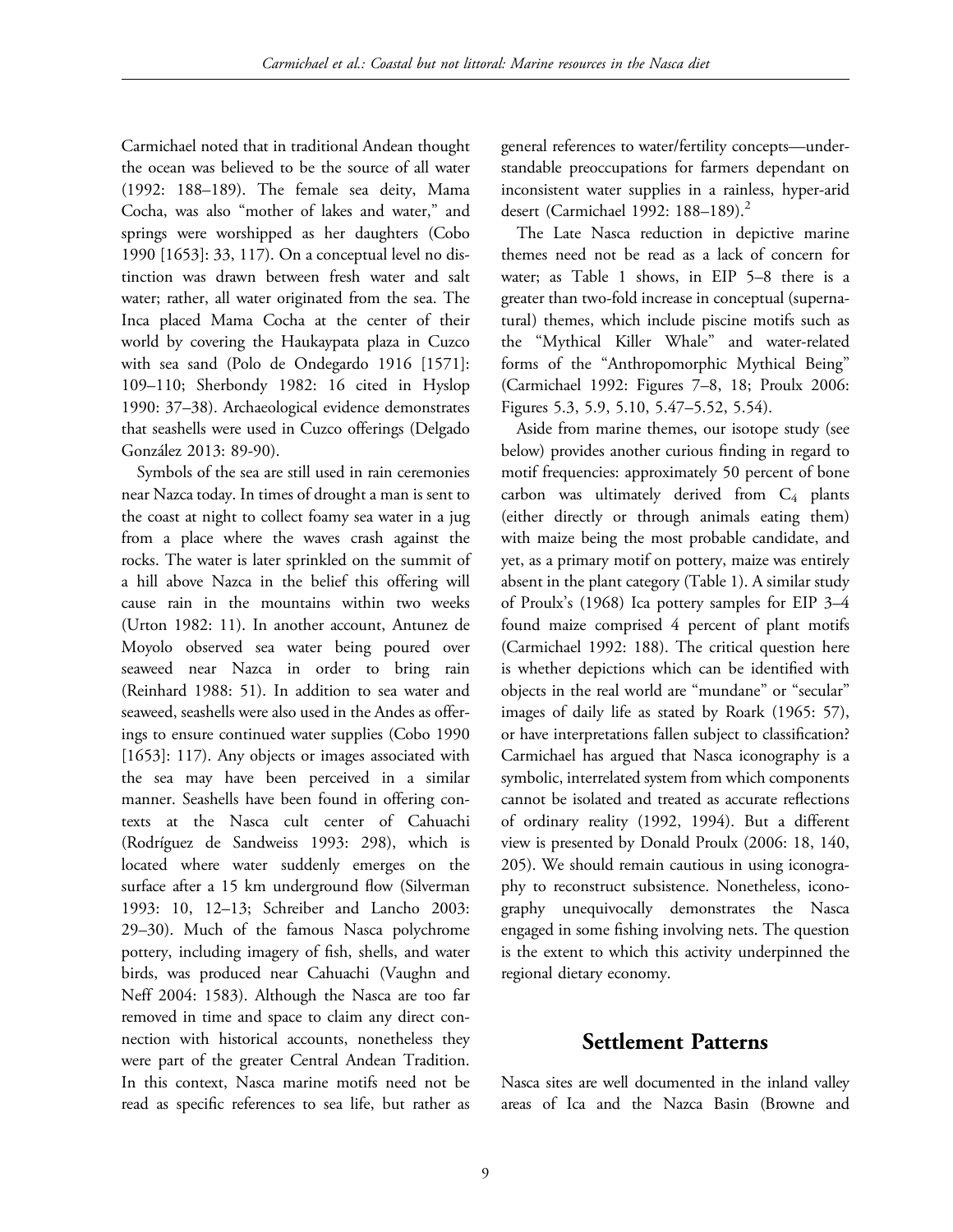Carmichael noted that in traditional Andean thought the ocean was believed to be the source of all water (1992: 188–189). The female sea deity, Mama Cocha, was also "mother of lakes and water," and springs were worshipped as her daughters ([Cobo](#page-18-0) [1990](#page-18-0) [1653]: 33, 117). On a conceptual level no distinction was drawn between fresh water and salt water; rather, all water originated from the sea. The Inca placed Mama Cocha at the center of their world by covering the Haukaypata plaza in Cuzco with sea sand ([Polo de Ondegardo 1916](#page-21-0) [1571]: 109–110; [Sherbondy 1982:](#page-22-0) 16 cited in [Hyslop](#page-20-0) [1990](#page-20-0): 37–38). Archaeological evidence demonstrates that seashells were used in Cuzco offerings (Delgado González 2013: 89-90).

Symbols of the sea are still used in rain ceremonies near Nazca today. In times of drought a man is sent to the coast at night to collect foamy sea water in a jug from a place where the waves crash against the rocks. The water is later sprinkled on the summit of a hill above Nazca in the belief this offering will cause rain in the mountains within two weeks [\(Urton 1982:](#page-23-0) 11). In another account, Antunez de Moyolo observed sea water being poured over seaweed near Nazca in order to bring rain [\(Reinhard 1988:](#page-21-0) 51). In addition to sea water and seaweed, seashells were also used in the Andes as offerings to ensure continued water supplies [\(Cobo 1990](#page-18-0) [1653]: 117). Any objects or images associated with the sea may have been perceived in a similar manner. Seashells have been found in offering contexts at the Nasca cult center of Cahuachi [\(Rodríguez de Sandweiss 1993](#page-22-0): 298), which is located where water suddenly emerges on the surface after a 15 km underground flow [\(Silverman](#page-22-0) [1993](#page-22-0): 10, 12–13; [Schreiber and Lancho 2003](#page-22-0): 29–30). Much of the famous Nasca polychrome pottery, including imagery of fish, shells, and water birds, was produced near Cahuachi [\(Vaughn and](#page-23-0) [Neff 2004:](#page-23-0) 1583). Although the Nasca are too far removed in time and space to claim any direct connection with historical accounts, nonetheless they were part of the greater Central Andean Tradition. In this context, Nasca marine motifs need not be read as specific references to sea life, but rather as

general references to water/fertility concepts—understandable preoccupations for farmers dependant on inconsistent water supplies in a rainless, hyper-arid desert [\(Carmichael 1992:](#page-18-0) 188–189).<sup>2</sup>

The Late Nasca reduction in depictive marine themes need not be read as a lack of concern for water; as Table [1](#page-5-0) shows, in EIP 5–8 there is a greater than two-fold increase in conceptual (supernatural) themes, which include piscine motifs such as the "Mythical Killer Whale" and water-related forms of the "Anthropomorphic Mythical Being" [\(Carmichael 1992:](#page-18-0) Figures [7](#page-13-0)–8, 18; [Proulx 2006](#page-21-0): Figures 5.3, 5.9, 5.10, 5.47–5.52, 5.54).

Aside from marine themes, our isotope study (see below) provides another curious finding in regard to motif frequencies: approximately 50 percent of bone carbon was ultimately derived from  $C_4$  plants (either directly or through animals eating them) with maize being the most probable candidate, and yet, as a primary motif on pottery, maize was entirely absent in the plant category (Table [1\)](#page-5-0). A similar study of Proulx's (1968) Ica pottery samples for EIP 3–4 found maize comprised 4 percent of plant motifs [\(Carmichael 1992:](#page-18-0) 188). The critical question here is whether depictions which can be identified with objects in the real world are "mundane" or "secular" images of daily life as stated by [Roark \(1965](#page-22-0): 57), or have interpretations fallen subject to classification? Carmichael has argued that Nasca iconography is a symbolic, interrelated system from which components cannot be isolated and treated as accurate reflections of ordinary reality (1992, 1994). But a different view is presented by Donald [Proulx \(2006](#page-21-0): 18, 140, 205). We should remain cautious in using iconography to reconstruct subsistence. Nonetheless, iconography unequivocally demonstrates the Nasca engaged in some fishing involving nets. The question is the extent to which this activity underpinned the regional dietary economy.

### Settlement Patterns

Nasca sites are well documented in the inland valley areas of Ica and the Nazca Basin ([Browne and](#page-18-0)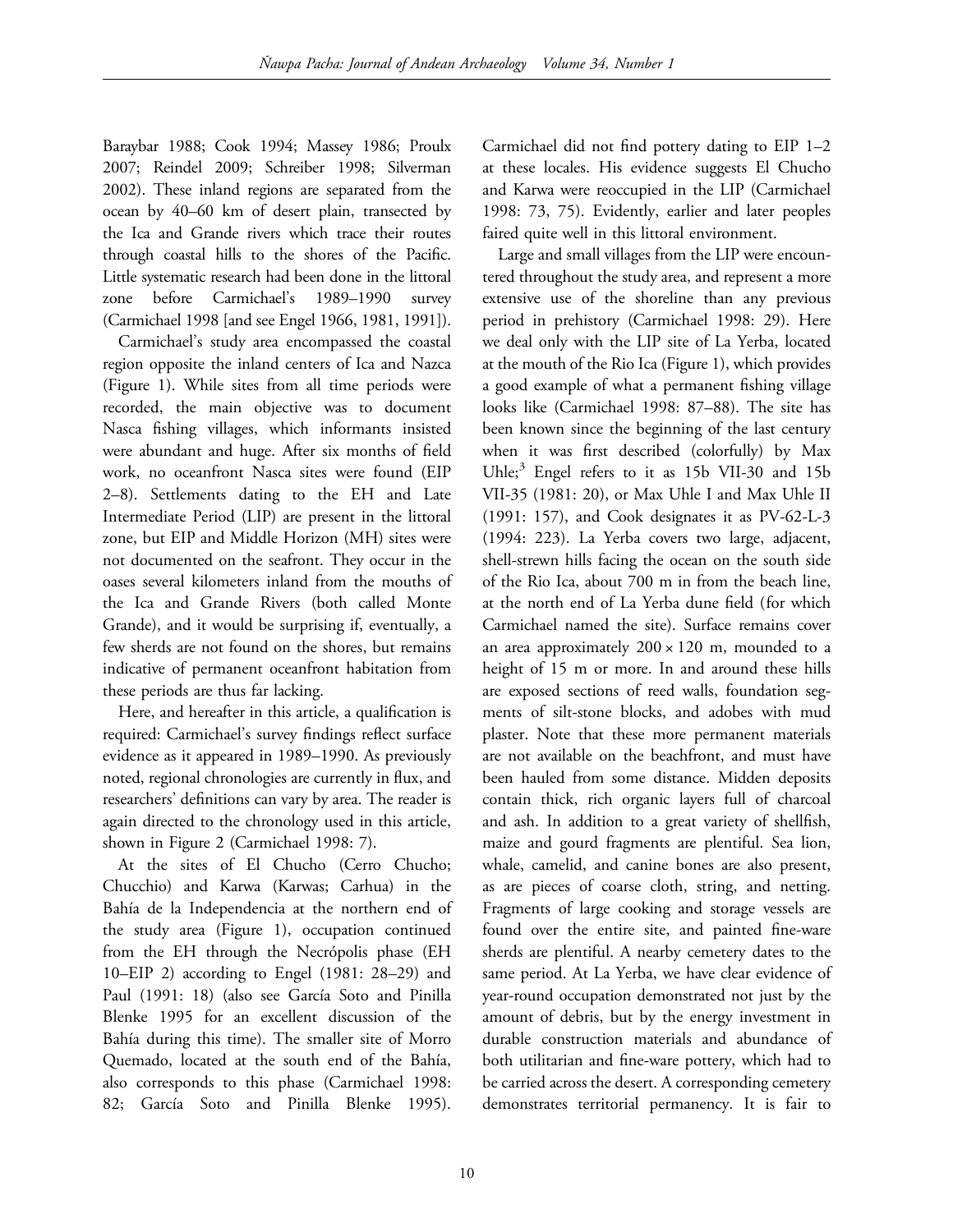[Baraybar 1988](#page-18-0); [Cook 1994](#page-18-0); [Massey 1986](#page-20-0); [Proulx](#page-21-0) [2007; Reindel 2009;](#page-21-0) [Schreiber 1998](#page-22-0); [Silverman](#page-22-0) [2002\)](#page-22-0). These inland regions are separated from the ocean by 40–60 km of desert plain, transected by the Ica and Grande rivers which trace their routes through coastal hills to the shores of the Pacific. Little systematic research had been done in the littoral zone before Carmichael's 1989–1990 survey [\(Carmichael 1998](#page-18-0) [and see [Engel 1966, 1981, 1991\]](#page-19-0)).

Carmichael's study area encompassed the coastal region opposite the inland centers of Ica and Nazca (Figure [1\)](#page-2-0). While sites from all time periods were recorded, the main objective was to document Nasca fishing villages, which informants insisted were abundant and huge. After six months of field work, no oceanfront Nasca sites were found (EIP 2–8). Settlements dating to the EH and Late Intermediate Period (LIP) are present in the littoral zone, but EIP and Middle Horizon (MH) sites were not documented on the seafront. They occur in the oases several kilometers inland from the mouths of the Ica and Grande Rivers (both called Monte Grande), and it would be surprising if, eventually, a few sherds are not found on the shores, but remains indicative of permanent oceanfront habitation from these periods are thus far lacking.

Here, and hereafter in this article, a qualification is required: Carmichael's survey findings reflect surface evidence as it appeared in 1989–1990. As previously noted, regional chronologies are currently in flux, and researchers' definitions can vary by area. The reader is again directed to the chronology used in this article, shown in Figure [2](#page-3-0) ([Carmichael 1998](#page-18-0): 7).

At the sites of El Chucho (Cerro Chucho; Chucchio) and Karwa (Karwas; Carhua) in the Bahía de la Independencia at the northern end of the study area (Figure [1](#page-2-0)), occupation continued from the EH through the Necrópolis phase (EH 10–EIP 2) according to [Engel \(1981:](#page-19-0) 28–29) and [Paul \(1991](#page-21-0): 18) (also see [García Soto and Pinilla](#page-19-0) [Blenke 1995](#page-19-0) for an excellent discussion of the Bahía during this time). The smaller site of Morro Quemado, located at the south end of the Bahía, also corresponds to this phase [\(Carmichael 1998](#page-18-0): 82; [García Soto and Pinilla Blenke 1995\)](#page-19-0).

Carmichael did not find pottery dating to EIP 1–2 at these locales. His evidence suggests El Chucho and Karwa were reoccupied in the LIP ([Carmichael](#page-18-0) [1998:](#page-18-0) 73, 75). Evidently, earlier and later peoples faired quite well in this littoral environment.

Large and small villages from the LIP were encountered throughout the study area, and represent a more extensive use of the shoreline than any previous period in prehistory ([Carmichael 1998](#page-18-0): 29). Here we deal only with the LIP site of La Yerba, located at the mouth of the Rio Ica (Figure [1\)](#page-2-0), which provides a good example of what a permanent fishing village looks like [\(Carmichael 1998](#page-18-0): 87–88). The site has been known since the beginning of the last century when it was first described (colorfully) by Max Uhle;<sup>3</sup> Engel refers to it as  $15b$  VII-30 and  $15b$ VII-35 (1981: 20), or Max Uhle I and Max Uhle II (1991: 157), and Cook designates it as PV-62-L-3 (1994: 223). La Yerba covers two large, adjacent, shell-strewn hills facing the ocean on the south side of the Rio Ica, about 700 m in from the beach line, at the north end of La Yerba dune field (for which Carmichael named the site). Surface remains cover an area approximately  $200 \times 120$  m, mounded to a height of 15 m or more. In and around these hills are exposed sections of reed walls, foundation segments of silt-stone blocks, and adobes with mud plaster. Note that these more permanent materials are not available on the beachfront, and must have been hauled from some distance. Midden deposits contain thick, rich organic layers full of charcoal and ash. In addition to a great variety of shellfish, maize and gourd fragments are plentiful. Sea lion, whale, camelid, and canine bones are also present, as are pieces of coarse cloth, string, and netting. Fragments of large cooking and storage vessels are found over the entire site, and painted fine-ware sherds are plentiful. A nearby cemetery dates to the same period. At La Yerba, we have clear evidence of year-round occupation demonstrated not just by the amount of debris, but by the energy investment in durable construction materials and abundance of both utilitarian and fine-ware pottery, which had to be carried across the desert. A corresponding cemetery demonstrates territorial permanency. It is fair to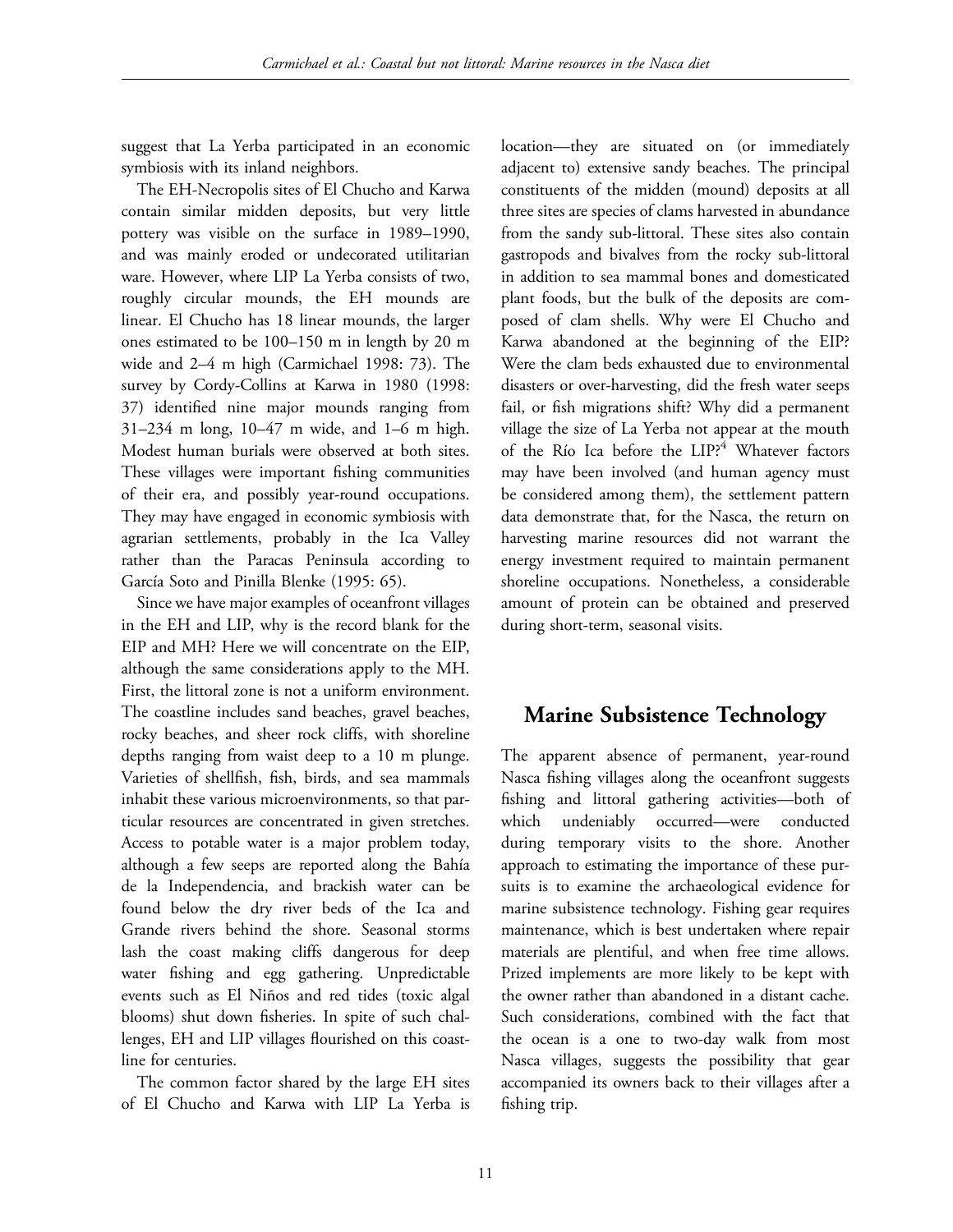suggest that La Yerba participated in an economic symbiosis with its inland neighbors.

The EH-Necropolis sites of El Chucho and Karwa contain similar midden deposits, but very little pottery was visible on the surface in 1989–1990, and was mainly eroded or undecorated utilitarian ware. However, where LIP La Yerba consists of two, roughly circular mounds, the EH mounds are linear. El Chucho has 18 linear mounds, the larger ones estimated to be 100–150 m in length by 20 m wide and 2–4 m high ([Carmichael 1998](#page-18-0): 73). The survey by Cordy-Collins at Karwa in 1980 (1998: 37) identified nine major mounds ranging from 31–234 m long, 10–47 m wide, and 1–6 m high. Modest human burials were observed at both sites. These villages were important fishing communities of their era, and possibly year-round occupations. They may have engaged in economic symbiosis with agrarian settlements, probably in the Ica Valley rather than the Paracas Peninsula according to [García Soto and Pinilla Blenke \(1995](#page-19-0): 65).

Since we have major examples of oceanfront villages in the EH and LIP, why is the record blank for the EIP and MH? Here we will concentrate on the EIP, although the same considerations apply to the MH. First, the littoral zone is not a uniform environment. The coastline includes sand beaches, gravel beaches, rocky beaches, and sheer rock cliffs, with shoreline depths ranging from waist deep to a 10 m plunge. Varieties of shellfish, fish, birds, and sea mammals inhabit these various microenvironments, so that particular resources are concentrated in given stretches. Access to potable water is a major problem today, although a few seeps are reported along the Bahía de la Independencia, and brackish water can be found below the dry river beds of the Ica and Grande rivers behind the shore. Seasonal storms lash the coast making cliffs dangerous for deep water fishing and egg gathering. Unpredictable events such as El Niños and red tides (toxic algal blooms) shut down fisheries. In spite of such challenges, EH and LIP villages flourished on this coastline for centuries.

The common factor shared by the large EH sites of El Chucho and Karwa with LIP La Yerba is location—they are situated on (or immediately adjacent to) extensive sandy beaches. The principal constituents of the midden (mound) deposits at all three sites are species of clams harvested in abundance from the sandy sub-littoral. These sites also contain gastropods and bivalves from the rocky sub-littoral in addition to sea mammal bones and domesticated plant foods, but the bulk of the deposits are composed of clam shells. Why were El Chucho and Karwa abandoned at the beginning of the EIP? Were the clam beds exhausted due to environmental disasters or over-harvesting, did the fresh water seeps fail, or fish migrations shift? Why did a permanent village the size of La Yerba not appear at the mouth of the Río Ica before the LIP?<sup>4</sup> Whatever factors may have been involved (and human agency must be considered among them), the settlement pattern data demonstrate that, for the Nasca, the return on harvesting marine resources did not warrant the energy investment required to maintain permanent shoreline occupations. Nonetheless, a considerable amount of protein can be obtained and preserved during short-term, seasonal visits.

# Marine Subsistence Technology

The apparent absence of permanent, year-round Nasca fishing villages along the oceanfront suggests fishing and littoral gathering activities—both of which undeniably occurred—were conducted during temporary visits to the shore. Another approach to estimating the importance of these pursuits is to examine the archaeological evidence for marine subsistence technology. Fishing gear requires maintenance, which is best undertaken where repair materials are plentiful, and when free time allows. Prized implements are more likely to be kept with the owner rather than abandoned in a distant cache. Such considerations, combined with the fact that the ocean is a one to two-day walk from most Nasca villages, suggests the possibility that gear accompanied its owners back to their villages after a fishing trip.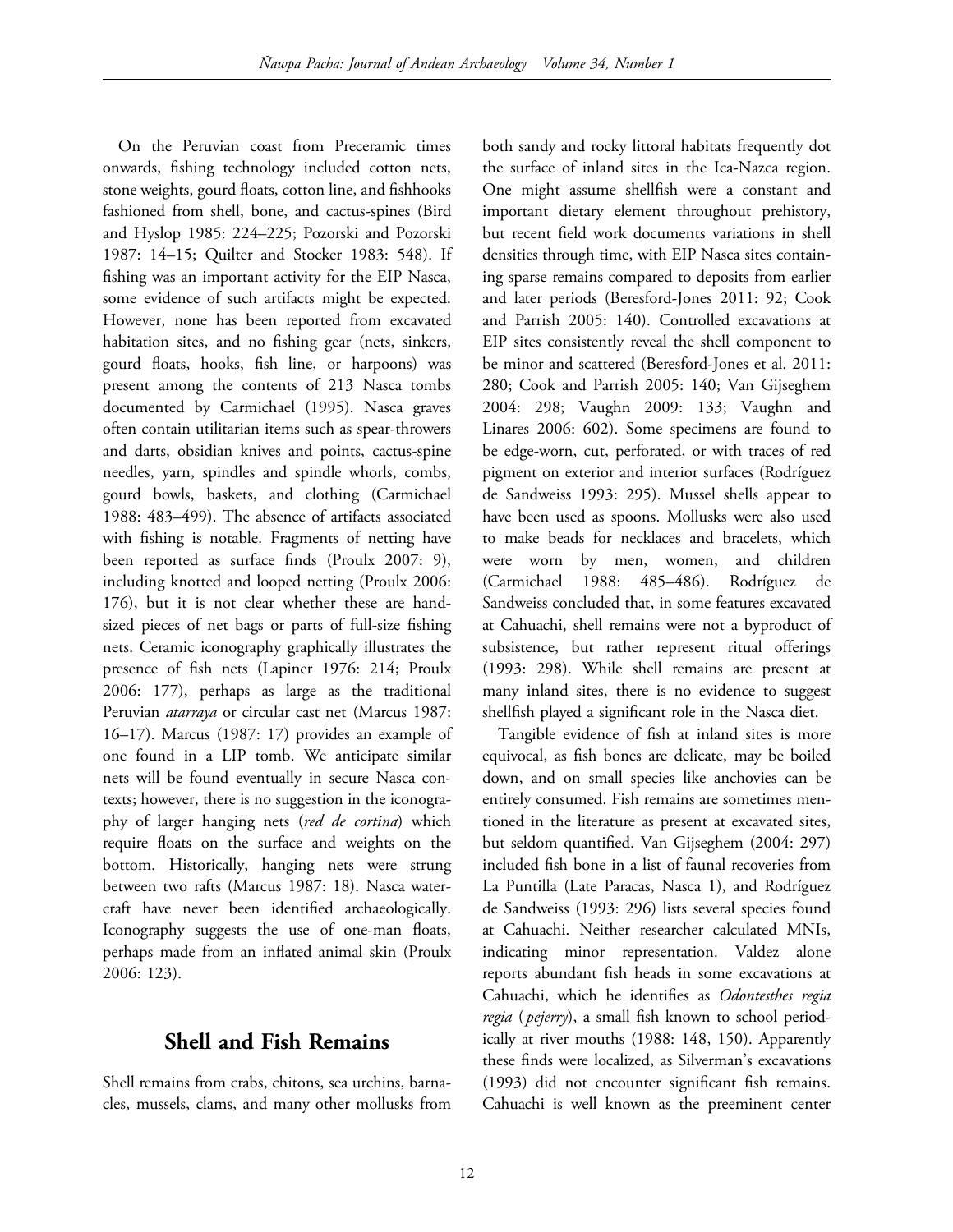On the Peruvian coast from Preceramic times onwards, fishing technology included cotton nets, stone weights, gourd floats, cotton line, and fishhooks fashioned from shell, bone, and cactus-spines ([Bird](#page-18-0) [and Hyslop 1985](#page-18-0): 224–225; [Pozorski and Pozorski](#page-21-0) [1987:](#page-21-0) 14–15; [Quilter and Stocker 1983](#page-21-0): 548). If fishing was an important activity for the EIP Nasca, some evidence of such artifacts might be expected. However, none has been reported from excavated habitation sites, and no fishing gear (nets, sinkers, gourd floats, hooks, fish line, or harpoons) was present among the contents of 213 Nasca tombs documented by [Carmichael \(1995\).](#page-18-0) Nasca graves often contain utilitarian items such as spear-throwers and darts, obsidian knives and points, cactus-spine needles, yarn, spindles and spindle whorls, combs, gourd bowls, baskets, and clothing ([Carmichael](#page-18-0) [1988:](#page-18-0) 483–499). The absence of artifacts associated with fishing is notable. Fragments of netting have been reported as surface finds [\(Proulx 2007](#page-21-0): 9), including knotted and looped netting [\(Proulx 2006](#page-21-0): 176), but it is not clear whether these are handsized pieces of net bags or parts of full-size fishing nets. Ceramic iconography graphically illustrates the presence of fish nets ([Lapiner 1976:](#page-20-0) 214; [Proulx](#page-21-0) [2006:](#page-21-0) 177), perhaps as large as the traditional Peruvian *atarraya* or circular cast net [\(Marcus 1987](#page-20-0): 16–17). [Marcus \(1987:](#page-20-0) 17) provides an example of one found in a LIP tomb. We anticipate similar nets will be found eventually in secure Nasca contexts; however, there is no suggestion in the iconography of larger hanging nets (red de cortina) which require floats on the surface and weights on the bottom. Historically, hanging nets were strung between two rafts ([Marcus 1987:](#page-20-0) 18). Nasca watercraft have never been identified archaeologically. Iconography suggests the use of one-man floats, perhaps made from an inflated animal skin [\(Proulx](#page-21-0) [2006:](#page-21-0) 123).

# Shell and Fish Remains

Shell remains from crabs, chitons, sea urchins, barnacles, mussels, clams, and many other mollusks from both sandy and rocky littoral habitats frequently dot the surface of inland sites in the Ica-Nazca region. One might assume shellfish were a constant and important dietary element throughout prehistory, but recent field work documents variations in shell densities through time, with EIP Nasca sites containing sparse remains compared to deposits from earlier and later periods [\(Beresford-Jones 2011:](#page-18-0) 92; [Cook](#page-18-0) [and Parrish 2005](#page-18-0): 140). Controlled excavations at EIP sites consistently reveal the shell component to be minor and scattered [\(Beresford-Jones et al. 2011](#page-18-0): 280; [Cook and Parrish 2005:](#page-18-0) 140; [Van Gijseghem](#page-23-0) [2004:](#page-23-0) 298; [Vaughn 2009](#page-23-0): 133; Vaughn and Linares 2006: 602). Some specimens are found to be edge-worn, cut, perforated, or with traces of red pigment on exterior and interior surfaces [\(Rodríguez](#page-22-0) [de Sandweiss 1993](#page-22-0): 295). Mussel shells appear to have been used as spoons. Mollusks were also used to make beads for necklaces and bracelets, which were worn by men, women, and children [\(Carmichael 1988](#page-18-0): 485–486). Rodríguez de Sandweiss concluded that, in some features excavated at Cahuachi, shell remains were not a byproduct of subsistence, but rather represent ritual offerings (1993: 298). While shell remains are present at many inland sites, there is no evidence to suggest shellfish played a significant role in the Nasca diet.

Tangible evidence of fish at inland sites is more equivocal, as fish bones are delicate, may be boiled down, and on small species like anchovies can be entirely consumed. Fish remains are sometimes mentioned in the literature as present at excavated sites, but seldom quantified. [Van Gijseghem \(2004](#page-23-0): 297) included fish bone in a list of faunal recoveries from La Puntilla (Late Paracas, Nasca 1), and [Rodríguez](#page-22-0) [de Sandweiss \(1993](#page-22-0): 296) lists several species found at Cahuachi. Neither researcher calculated MNIs, indicating minor representation. Valdez alone reports abundant fish heads in some excavations at Cahuachi, which he identifies as Odontesthes regia regia ( pejerry), a small fish known to school periodically at river mouths (1988: 148, 150). Apparently these finds were localized, as Silverman's excavations (1993) did not encounter significant fish remains. Cahuachi is well known as the preeminent center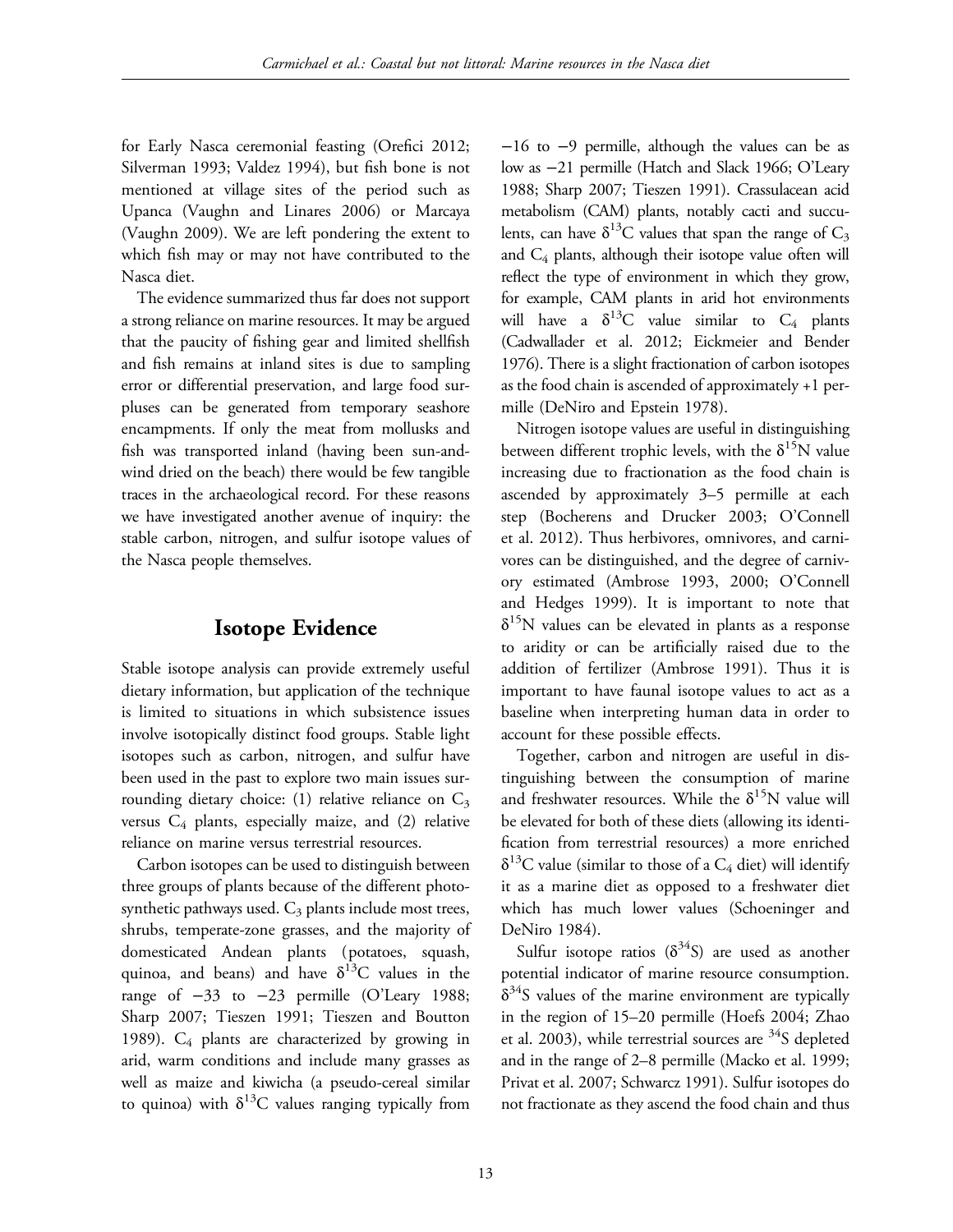for Early Nasca ceremonial feasting (Orefi[ci 2012](#page-21-0); [Silverman 1993;](#page-22-0) [Valdez 1994\)](#page-23-0), but fish bone is not mentioned at village sites of the period such as Upanca (Vaughn and Linares 2006) or Marcaya [\(Vaughn 2009](#page-23-0)). We are left pondering the extent to which fish may or may not have contributed to the Nasca diet.

The evidence summarized thus far does not support a strong reliance on marine resources. It may be argued that the paucity of fishing gear and limited shellfish and fish remains at inland sites is due to sampling error or differential preservation, and large food surpluses can be generated from temporary seashore encampments. If only the meat from mollusks and fish was transported inland (having been sun-andwind dried on the beach) there would be few tangible traces in the archaeological record. For these reasons we have investigated another avenue of inquiry: the stable carbon, nitrogen, and sulfur isotope values of the Nasca people themselves.

# Isotope Evidence

Stable isotope analysis can provide extremely useful dietary information, but application of the technique is limited to situations in which subsistence issues involve isotopically distinct food groups. Stable light isotopes such as carbon, nitrogen, and sulfur have been used in the past to explore two main issues surrounding dietary choice: (1) relative reliance on  $C_3$ versus  $C_4$  plants, especially maize, and (2) relative reliance on marine versus terrestrial resources.

Carbon isotopes can be used to distinguish between three groups of plants because of the different photosynthetic pathways used.  $C_3$  plants include most trees, shrubs, temperate-zone grasses, and the majority of domesticated Andean plants ( potatoes, squash, quinoa, and beans) and have  $\delta^{13}$ C values in the range of −33 to −23 permille (O'[Leary 1988](#page-21-0); [Sharp 2007](#page-22-0); [Tieszen 1991; Tieszen and Boutton](#page-22-0) [1989](#page-22-0)).  $C_4$  plants are characterized by growing in arid, warm conditions and include many grasses as well as maize and kiwicha (a pseudo-cereal similar to quinoa) with  $\delta^{13}$ C values ranging typically from

−16 to −9 permille, although the values can be as low as −21 permille ([Hatch and Slack 1966](#page-19-0); O'[Leary](#page-21-0) [1988](#page-21-0); [Sharp 2007; Tieszen 1991](#page-22-0)). Crassulacean acid metabolism (CAM) plants, notably cacti and succulents, can have  $\delta^{13}C$  values that span the range of  $C_3$ and  $C_4$  plants, although their isotope value often will reflect the type of environment in which they grow, for example, CAM plants in arid hot environments will have a  $\delta^{13}C$  value similar to  $C_4$  plants [\(Cadwallader et al. 2012;](#page-18-0) [Eickmeier and Bender](#page-19-0) [1976](#page-19-0)). There is a slight fractionation of carbon isotopes as the food chain is ascended of approximately +1 permille ([DeNiro and Epstein 1978\)](#page-19-0).

Nitrogen isotope values are useful in distinguishing between different trophic levels, with the  $\delta^{15}N$  value increasing due to fractionation as the food chain is ascended by approximately 3–5 permille at each step [\(Bocherens and Drucker 2003](#page-18-0); O'[Connell](#page-21-0) [et al. 2012\)](#page-21-0). Thus herbivores, omnivores, and carnivores can be distinguished, and the degree of carnivory estimated ([Ambrose 1993](#page-17-0), [2000](#page-17-0); O'[Connell](#page-20-0) [and Hedges 1999](#page-20-0)). It is important to note that  $\delta^{15}$ N values can be elevated in plants as a response to aridity or can be artificially raised due to the addition of fertilizer ([Ambrose 1991](#page-17-0)). Thus it is important to have faunal isotope values to act as a baseline when interpreting human data in order to account for these possible effects.

Together, carbon and nitrogen are useful in distinguishing between the consumption of marine and freshwater resources. While the  $\delta^{15}N$  value will be elevated for both of these diets (allowing its identification from terrestrial resources) a more enriched  $\delta^{13}$ C value (similar to those of a C<sub>4</sub> diet) will identify it as a marine diet as opposed to a freshwater diet which has much lower values ([Schoeninger and](#page-22-0) [DeNiro 1984](#page-22-0)).

Sulfur isotope ratios ( $\delta^{34}$ S) are used as another potential indicator of marine resource consumption.  $\delta^{34}$ S values of the marine environment are typically in the region of 15–20 permille [\(Hoefs 2004](#page-19-0); [Zhao](#page-23-0) [et al. 2003\)](#page-23-0), while terrestrial sources are <sup>34</sup>S depleted and in the range of 2–8 permille ([Macko et al. 1999](#page-20-0); [Privat et al. 2007;](#page-21-0) [Schwarcz 1991\)](#page-22-0). Sulfur isotopes do not fractionate as they ascend the food chain and thus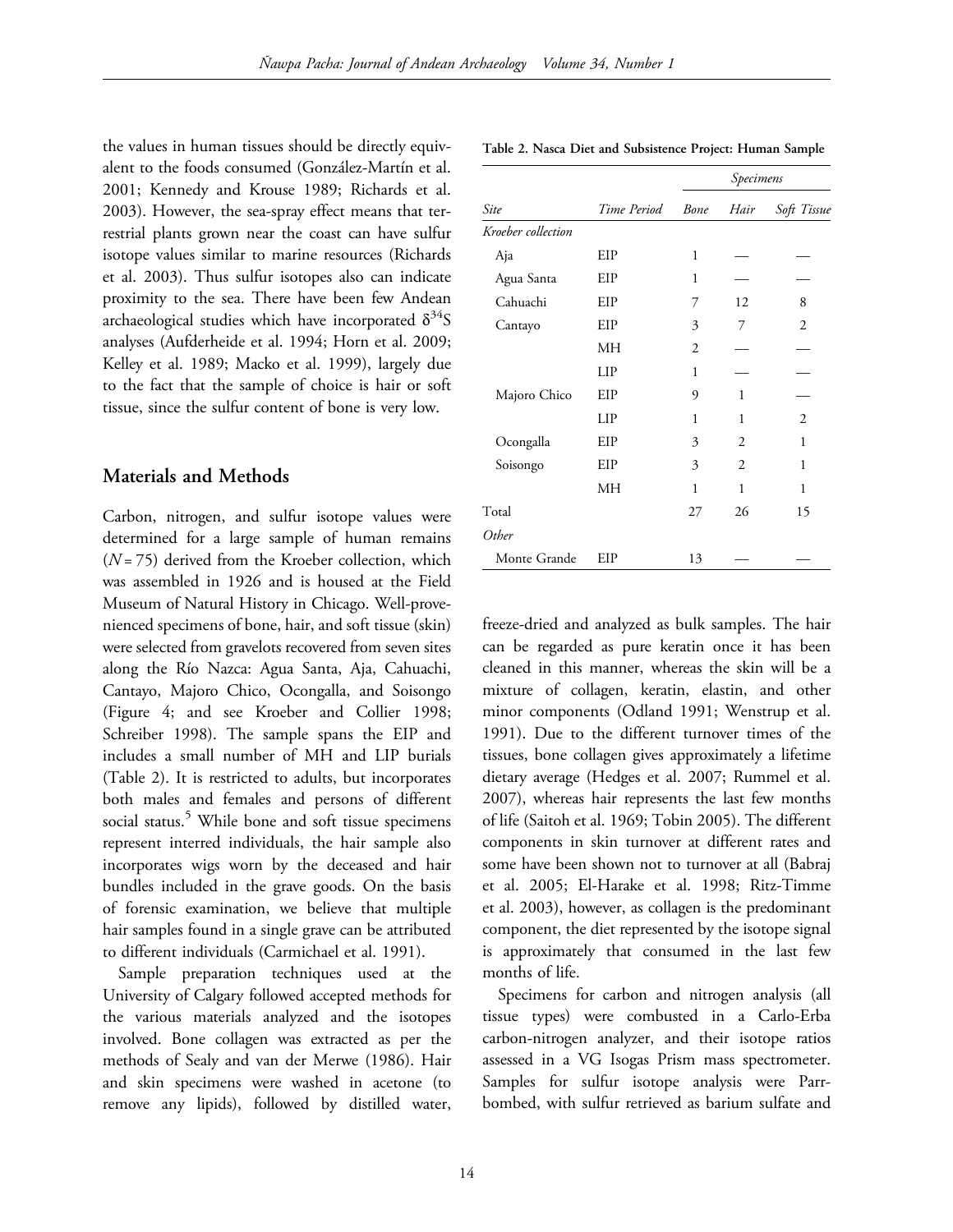the values in human tissues should be directly equivalent to the foods consumed [\(González-Martín et al.](#page-19-0) [2001;](#page-19-0) [Kennedy and Krouse 1989;](#page-20-0) [Richards et al.](#page-21-0) [2003\)](#page-21-0). However, the sea-spray effect means that terrestrial plants grown near the coast can have sulfur isotope values similar to marine resources [\(Richards](#page-21-0) [et al. 2003](#page-21-0)). Thus sulfur isotopes also can indicate proximity to the sea. There have been few Andean archaeological studies which have incorporated  $\delta^{34}S$ analyses [\(Aufderheide et al. 1994;](#page-17-0) [Horn et al. 2009](#page-20-0); [Kelley et al. 1989](#page-20-0); [Macko et al. 1999](#page-20-0)), largely due to the fact that the sample of choice is hair or soft tissue, since the sulfur content of bone is very low.

#### Materials and Methods

Carbon, nitrogen, and sulfur isotope values were determined for a large sample of human remains  $(N = 75)$  derived from the Kroeber collection, which was assembled in 1926 and is housed at the Field Museum of Natural History in Chicago. Well-provenienced specimens of bone, hair, and soft tissue (skin) were selected from gravelots recovered from seven sites along the Río Nazca: Agua Santa, Aja, Cahuachi, Cantayo, Majoro Chico, Ocongalla, and Soisongo (Figure [4;](#page-4-0) and see [Kroeber and Collier 1998](#page-20-0); [Schreiber 1998](#page-22-0)). The sample spans the EIP and includes a small number of MH and LIP burials (Table 2). It is restricted to adults, but incorporates both males and females and persons of different social status.<sup>5</sup> While bone and soft tissue specimens represent interred individuals, the hair sample also incorporates wigs worn by the deceased and hair bundles included in the grave goods. On the basis of forensic examination, we believe that multiple hair samples found in a single grave can be attributed to different individuals ([Carmichael et al. 1991](#page-18-0)).

Sample preparation techniques used at the University of Calgary followed accepted methods for the various materials analyzed and the isotopes involved. Bone collagen was extracted as per the methods of [Sealy and van der Merwe \(1986\).](#page-22-0) Hair and skin specimens were washed in acetone (to remove any lipids), followed by distilled water,

|                    | Time Period | Specimens      |                |                |
|--------------------|-------------|----------------|----------------|----------------|
| Site               |             | Bone           | Hair           | Soft Tissue    |
| Kroeber collection |             |                |                |                |
| Aja                | EIP         | $\mathbf{1}$   |                |                |
| Agua Santa         | EIP         | 1              |                |                |
| Cahuachi           | EIP         | 7              | 12             | 8              |
| Cantayo            | EIP         | 3              | 7              | 2              |
|                    | MН          | $\overline{2}$ |                |                |
|                    | LIP         | 1              |                |                |
| Majoro Chico       | EIP         | 9              | 1              |                |
|                    | LIP         | 1              | 1              | $\overline{2}$ |
| Ocongalla          | EIP         | 3              | $\overline{c}$ | 1              |
| Soisongo           | EIP         | 3              | $\overline{2}$ | 1              |
|                    | MН          | 1              | 1              | 1              |
| Total              |             | 27             | 26             | 15             |
| Other              |             |                |                |                |
| Monte Grande       | EIP         | 13             |                |                |

freeze-dried and analyzed as bulk samples. The hair can be regarded as pure keratin once it has been cleaned in this manner, whereas the skin will be a mixture of collagen, keratin, elastin, and other minor components ([Odland 1991;](#page-21-0) [Wenstrup et al.](#page-23-0) [1991\)](#page-23-0). Due to the different turnover times of the tissues, bone collagen gives approximately a lifetime dietary average [\(Hedges et al. 2007](#page-19-0); [Rummel et al.](#page-22-0) [2007\)](#page-22-0), whereas hair represents the last few months of life ([Saitoh et al. 1969;](#page-22-0) [Tobin 2005\)](#page-23-0). The different components in skin turnover at different rates and some have been shown not to turnover at all [\(Babraj](#page-17-0) [et al. 2005](#page-17-0); [El-Harake et al. 1998;](#page-19-0) [Ritz-Timme](#page-21-0) [et al. 2003\)](#page-21-0), however, as collagen is the predominant component, the diet represented by the isotope signal is approximately that consumed in the last few months of life.

Specimens for carbon and nitrogen analysis (all tissue types) were combusted in a Carlo-Erba carbon-nitrogen analyzer, and their isotope ratios assessed in a VG Isogas Prism mass spectrometer. Samples for sulfur isotope analysis were Parrbombed, with sulfur retrieved as barium sulfate and

Table 2. Nasca Diet and Subsistence Project: Human Sample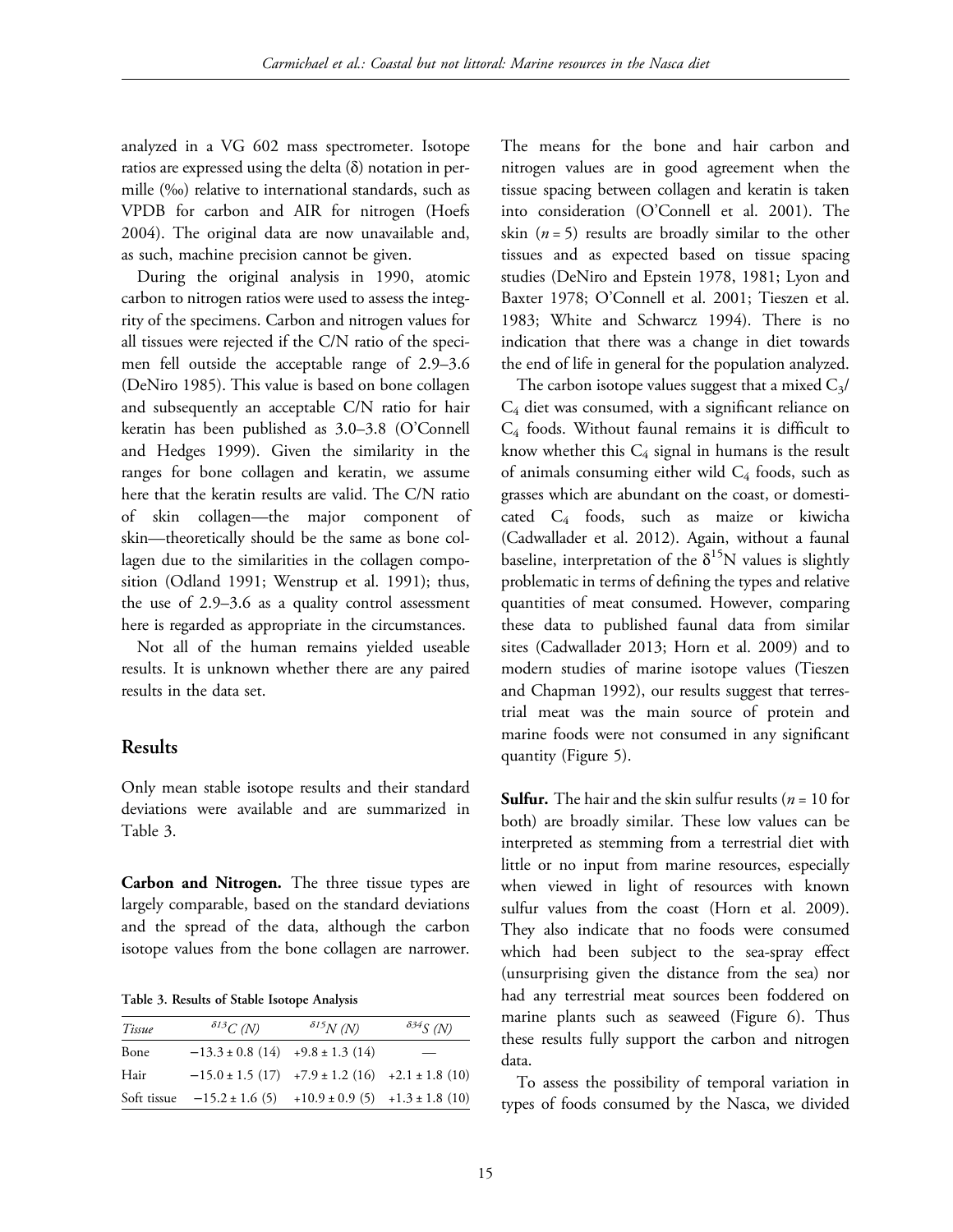analyzed in a VG 602 mass spectrometer. Isotope ratios are expressed using the delta (δ) notation in permille (‰) relative to international standards, such as VPDB for carbon and AIR for nitrogen ([Hoefs](#page-19-0) [2004](#page-19-0)). The original data are now unavailable and, as such, machine precision cannot be given.

During the original analysis in 1990, atomic carbon to nitrogen ratios were used to assess the integrity of the specimens. Carbon and nitrogen values for all tissues were rejected if the C/N ratio of the specimen fell outside the acceptable range of 2.9–3.6 [\(DeNiro 1985](#page-19-0)). This value is based on bone collagen and subsequently an acceptable C/N ratio for hair keratin has been published as 3.0–3.8 (O'[Connell](#page-20-0) [and Hedges 1999](#page-20-0)). Given the similarity in the ranges for bone collagen and keratin, we assume here that the keratin results are valid. The C/N ratio of skin collagen—the major component of skin—theoretically should be the same as bone collagen due to the similarities in the collagen composition [\(Odland 1991](#page-21-0); [Wenstrup et al. 1991](#page-23-0)); thus, the use of 2.9–3.6 as a quality control assessment here is regarded as appropriate in the circumstances.

Not all of the human remains yielded useable results. It is unknown whether there are any paired results in the data set.

#### Results

Only mean stable isotope results and their standard deviations were available and are summarized in Table 3.

Carbon and Nitrogen. The three tissue types are largely comparable, based on the standard deviations and the spread of the data, although the carbon isotope values from the bone collagen are narrower.

Table 3. Results of Stable Isotope Analysis

| Tissue      | $\delta^{13}C(N)$                                            | $\delta^{15}N(N)$ | $\delta^{34}S(N)$ |
|-------------|--------------------------------------------------------------|-------------------|-------------------|
| Bone        | $-13.3 \pm 0.8$ (14) $+9.8 \pm 1.3$ (14)                     |                   | _                 |
| Hair        | $-15.0 \pm 1.5$ (17) $+7.9 \pm 1.2$ (16) $+2.1 \pm 1.8$ (10) |                   |                   |
| Soft tissue | $-15.2 \pm 1.6$ (5) $+10.9 \pm 0.9$ (5) $+1.3 \pm 1.8$ (10)  |                   |                   |

The means for the bone and hair carbon and nitrogen values are in good agreement when the tissue spacing between collagen and keratin is taken into consideration (O'[Connell et al. 2001](#page-20-0)). The skin  $(n=5)$  results are broadly similar to the other tissues and as expected based on tissue spacing studies ([DeNiro and Epstein 1978](#page-19-0), [1981;](#page-19-0) [Lyon and](#page-20-0) [Baxter 1978](#page-20-0); O'[Connell et al. 2001](#page-20-0); [Tieszen et al.](#page-23-0) [1983](#page-23-0); [White and Schwarcz 1994\)](#page-23-0). There is no indication that there was a change in diet towards the end of life in general for the population analyzed.

The carbon isotope values suggest that a mixed  $C_3/$  $C_4$  diet was consumed, with a significant reliance on  $C_4$  foods. Without faunal remains it is difficult to know whether this  $C_4$  signal in humans is the result of animals consuming either wild  $C_4$  foods, such as grasses which are abundant on the coast, or domesticated  $C_4$  foods, such as maize or kiwicha [\(Cadwallader et al. 2012\)](#page-18-0). Again, without a faunal baseline, interpretation of the  $\delta^{15}N$  values is slightly problematic in terms of defining the types and relative quantities of meat consumed. However, comparing these data to published faunal data from similar sites [\(Cadwallader 2013;](#page-18-0) [Horn et al. 2009](#page-20-0)) and to modern studies of marine isotope values ([Tieszen](#page-22-0) [and Chapman 1992\)](#page-22-0), our results suggest that terrestrial meat was the main source of protein and marine foods were not consumed in any significant quantity (Figure [5\)](#page-13-0).

**Sulfur.** The hair and the skin sulfur results ( $n = 10$  for both) are broadly similar. These low values can be interpreted as stemming from a terrestrial diet with little or no input from marine resources, especially when viewed in light of resources with known sulfur values from the coast [\(Horn et al. 2009\)](#page-20-0). They also indicate that no foods were consumed which had been subject to the sea-spray effect (unsurprising given the distance from the sea) nor had any terrestrial meat sources been foddered on marine plants such as seaweed (Figure [6](#page-13-0)). Thus these results fully support the carbon and nitrogen data.

To assess the possibility of temporal variation in types of foods consumed by the Nasca, we divided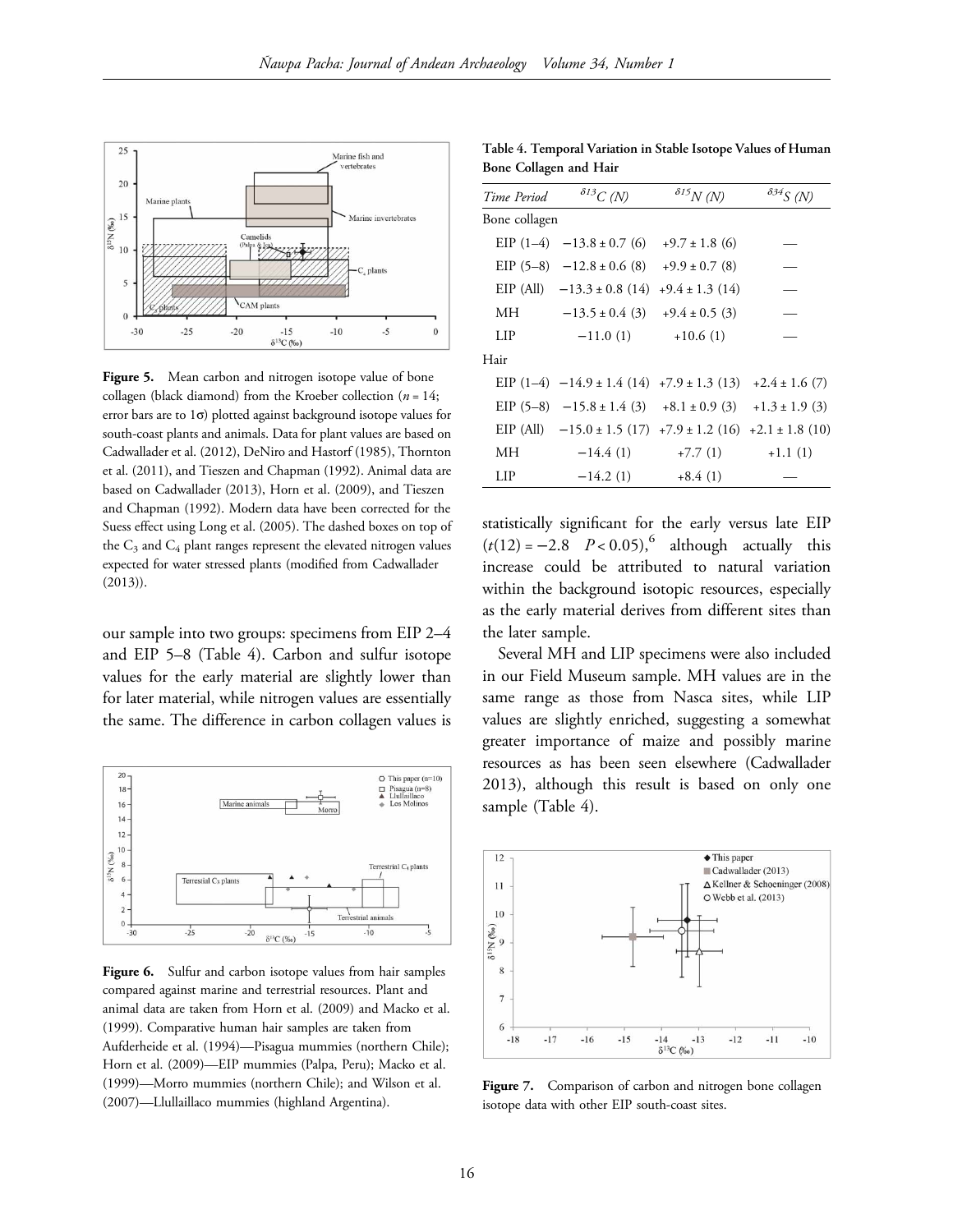<span id="page-13-0"></span>

Figure 5. Mean carbon and nitrogen isotope value of bone collagen (black diamond) from the Kroeber collection ( $n = 14$ ; error bars are to  $1\sigma$ ) plotted against background isotope values for south-coast plants and animals. Data for plant values are based on [Cadwallader et al. \(2012\)](#page-18-0), [DeNiro and Hastorf \(1985\),](#page-19-0) [Thornton](#page-22-0) [et al. \(2011\)](#page-22-0), and [Tieszen and Chapman \(1992\).](#page-22-0) Animal data are based on [Cadwallader \(2013\)](#page-18-0), [Horn et al. \(2009\),](#page-20-0) and [Tieszen](#page-22-0) [and Chapman \(1992\)](#page-22-0). Modern data have been corrected for the Suess effect using [Long et al. \(2005\)](#page-20-0). The dashed boxes on top of the  $C_3$  and  $C_4$  plant ranges represent the elevated nitrogen values expected for water stressed plants (modified from [Cadwallader](#page-18-0) [\(2013\)\)](#page-18-0).

our sample into two groups: specimens from EIP 2–4 and EIP 5–8 (Table 4). Carbon and sulfur isotope values for the early material are slightly lower than for later material, while nitrogen values are essentially the same. The difference in carbon collagen values is



Figure 6. Sulfur and carbon isotope values from hair samples compared against marine and terrestrial resources. Plant and animal data are taken from [Horn et al. \(2009\)](#page-20-0) and [Macko et al.](#page-20-0) [\(1999\).](#page-20-0) Comparative human hair samples are taken from [Aufderheide et al. \(1994](#page-17-0))—Pisagua mummies (northern Chile); [Horn et al. \(2009\)](#page-20-0)—EIP mummies (Palpa, Peru); [Macko et al.](#page-20-0) [\(1999\)](#page-20-0)—Morro mummies (northern Chile); and [Wilson et al.](#page-23-0) [\(2007\)](#page-23-0)—Llullaillaco mummies (highland Argentina).

Table 4. Temporal Variation in Stable Isotope Values of Human Bone Collagen and Hair

| Time Period   | ${}^{\delta13}C$ (N)                                     | $\delta^{15}N(N)$  | $\delta^{34}S(N)$   |
|---------------|----------------------------------------------------------|--------------------|---------------------|
| Bone collagen |                                                          |                    |                     |
| $EIP(1-4)$    | $-13.8 \pm 0.7$ (6)                                      | $+9.7 \pm 1.8$ (6) |                     |
|               | EIP $(5-8)$ -12.8 ± 0.6 (8)                              | $+9.9 \pm 0.7$ (8) |                     |
|               | EIP (All) $-13.3 \pm 0.8$ (14)                           | $+9.4 \pm 1.3(14)$ |                     |
| MН            | $-13.5 \pm 0.4$ (3)                                      | $+9.4 \pm 0.5$ (3) |                     |
| LIP           | $-11.0(1)$                                               | $+10.6(1)$         |                     |
| Hair          |                                                          |                    |                     |
|               | EIP $(1-4)$ $-14.9 \pm 1.4$ $(14)$ $+7.9 \pm 1.3$ $(13)$ |                    | $+2.4 \pm 1.6$ (7)  |
|               | EIP $(5-8)$ $-15.8 \pm 1.4$ $(3)$ $+8.1 \pm 0.9$ $(3)$   |                    | $+1.3 \pm 1.9$ (3)  |
|               | EIP (All) $-15.0 \pm 1.5$ (17) $+7.9 \pm 1.2$ (16)       |                    | $+2.1 \pm 1.8$ (10) |
| MН            | $-14.4(1)$                                               | $+7.7(1)$          | $+1.1(1)$           |
| LIP           | $-14.2(1)$                                               | $+8.4(1)$          |                     |

statistically significant for the early versus late EIP  $(t(12) = -2.8 \quad P < 0.05)$ , although actually this increase could be attributed to natural variation within the background isotopic resources, especially as the early material derives from different sites than the later sample.

Several MH and LIP specimens were also included in our Field Museum sample. MH values are in the same range as those from Nasca sites, while LIP values are slightly enriched, suggesting a somewhat greater importance of maize and possibly marine resources as has been seen elsewhere [\(Cadwallader](#page-18-0) [2013\)](#page-18-0), although this result is based on only one sample (Table 4).



Figure 7. Comparison of carbon and nitrogen bone collagen isotope data with other EIP south-coast sites.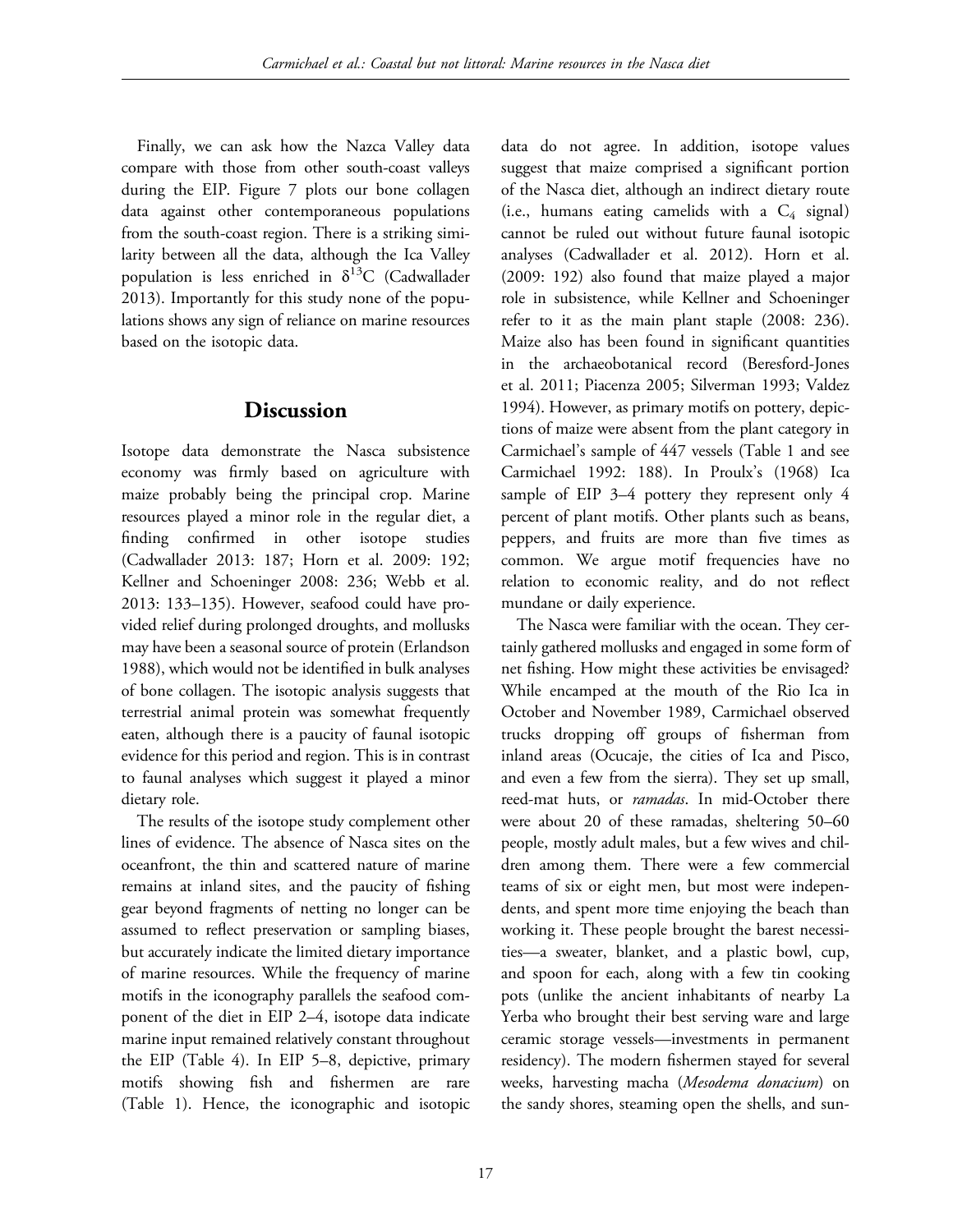Finally, we can ask how the Nazca Valley data compare with those from other south-coast valleys during the EIP. Figure [7](#page-13-0) plots our bone collagen data against other contemporaneous populations from the south-coast region. There is a striking similarity between all the data, although the Ica Valley population is less enriched in  $\delta^{13}$ C [\(Cadwallader](#page-18-0) [2013](#page-18-0)). Importantly for this study none of the populations shows any sign of reliance on marine resources based on the isotopic data.

## **Discussion**

Isotope data demonstrate the Nasca subsistence economy was firmly based on agriculture with maize probably being the principal crop. Marine resources played a minor role in the regular diet, a finding confirmed in other isotope studies [\(Cadwallader 2013:](#page-18-0) 187; [Horn et al. 2009](#page-20-0): 192; [Kellner and Schoeninger 2008:](#page-20-0) 236; [Webb et al.](#page-23-0) [2013](#page-23-0): 133–135). However, seafood could have provided relief during prolonged droughts, and mollusks may have been a seasonal source of protein [\(Erlandson](#page-19-0) [1988](#page-19-0)), which would not be identified in bulk analyses of bone collagen. The isotopic analysis suggests that terrestrial animal protein was somewhat frequently eaten, although there is a paucity of faunal isotopic evidence for this period and region. This is in contrast to faunal analyses which suggest it played a minor dietary role.

The results of the isotope study complement other lines of evidence. The absence of Nasca sites on the oceanfront, the thin and scattered nature of marine remains at inland sites, and the paucity of fishing gear beyond fragments of netting no longer can be assumed to reflect preservation or sampling biases, but accurately indicate the limited dietary importance of marine resources. While the frequency of marine motifs in the iconography parallels the seafood component of the diet in EIP 2–4, isotope data indicate marine input remained relatively constant throughout the EIP (Table [4](#page-13-0)). In EIP 5–8, depictive, primary motifs showing fish and fishermen are rare (Table [1](#page-5-0)). Hence, the iconographic and isotopic data do not agree. In addition, isotope values suggest that maize comprised a significant portion of the Nasca diet, although an indirect dietary route (i.e., humans eating camelids with a  $C_4$  signal) cannot be ruled out without future faunal isotopic analyses ([Cadwallader et al. 2012\)](#page-18-0). [Horn et al.](#page-20-0) [\(2009](#page-20-0): 192) also found that maize played a major role in subsistence, while Kellner and Schoeninger refer to it as the main plant staple (2008: 236). Maize also has been found in significant quantities in the archaeobotanical record [\(Beresford-Jones](#page-18-0) [et al. 2011](#page-18-0); [Piacenza 2005](#page-21-0); [Silverman 1993](#page-22-0); [Valdez](#page-23-0) [1994](#page-23-0)). However, as primary motifs on pottery, depictions of maize were absent from the plant category in Carmichael's sample of 447 vessels (Table [1](#page-5-0) and see [Carmichael 1992:](#page-18-0) 188). In Proulx's (1968) Ica sample of EIP 3–4 pottery they represent only 4 percent of plant motifs. Other plants such as beans, peppers, and fruits are more than five times as common. We argue motif frequencies have no relation to economic reality, and do not reflect mundane or daily experience.

The Nasca were familiar with the ocean. They certainly gathered mollusks and engaged in some form of net fishing. How might these activities be envisaged? While encamped at the mouth of the Rio Ica in October and November 1989, Carmichael observed trucks dropping off groups of fisherman from inland areas (Ocucaje, the cities of Ica and Pisco, and even a few from the sierra). They set up small, reed-mat huts, or *ramadas*. In mid-October there were about 20 of these ramadas, sheltering 50–60 people, mostly adult males, but a few wives and children among them. There were a few commercial teams of six or eight men, but most were independents, and spent more time enjoying the beach than working it. These people brought the barest necessities—a sweater, blanket, and a plastic bowl, cup, and spoon for each, along with a few tin cooking pots (unlike the ancient inhabitants of nearby La Yerba who brought their best serving ware and large ceramic storage vessels—investments in permanent residency). The modern fishermen stayed for several weeks, harvesting macha (Mesodema donacium) on the sandy shores, steaming open the shells, and sun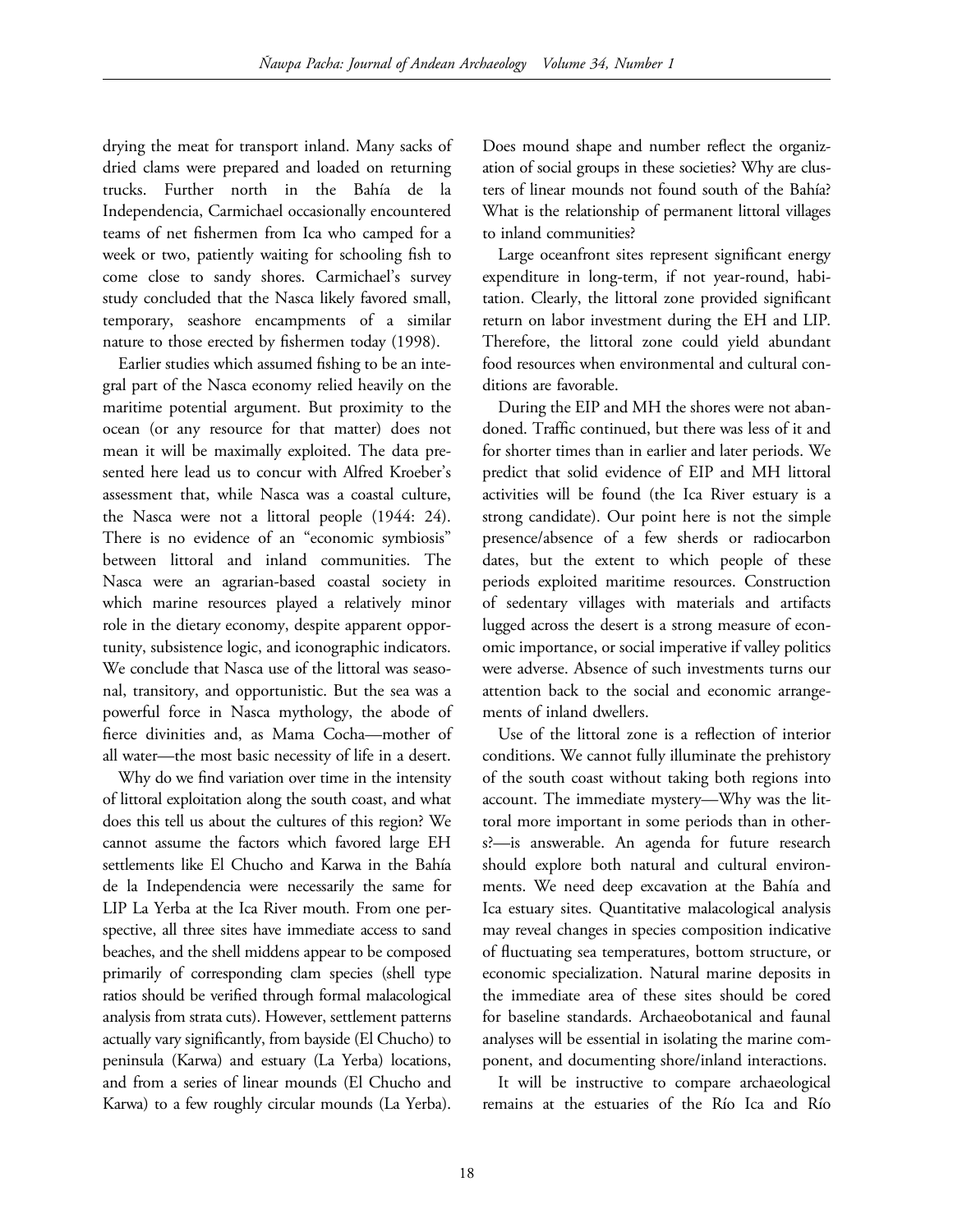drying the meat for transport inland. Many sacks of dried clams were prepared and loaded on returning trucks. Further north in the Bahía de la Independencia, Carmichael occasionally encountered teams of net fishermen from Ica who camped for a week or two, patiently waiting for schooling fish to come close to sandy shores. Carmichael's survey study concluded that the Nasca likely favored small, temporary, seashore encampments of a similar nature to those erected by fishermen today (1998).

Earlier studies which assumed fishing to be an integral part of the Nasca economy relied heavily on the maritime potential argument. But proximity to the ocean (or any resource for that matter) does not mean it will be maximally exploited. The data presented here lead us to concur with Alfred Kroeber's assessment that, while Nasca was a coastal culture, the Nasca were not a littoral people (1944: 24). There is no evidence of an "economic symbiosis" between littoral and inland communities. The Nasca were an agrarian-based coastal society in which marine resources played a relatively minor role in the dietary economy, despite apparent opportunity, subsistence logic, and iconographic indicators. We conclude that Nasca use of the littoral was seasonal, transitory, and opportunistic. But the sea was a powerful force in Nasca mythology, the abode of fierce divinities and, as Mama Cocha—mother of all water—the most basic necessity of life in a desert.

Why do we find variation over time in the intensity of littoral exploitation along the south coast, and what does this tell us about the cultures of this region? We cannot assume the factors which favored large EH settlements like El Chucho and Karwa in the Bahía de la Independencia were necessarily the same for LIP La Yerba at the Ica River mouth. From one perspective, all three sites have immediate access to sand beaches, and the shell middens appear to be composed primarily of corresponding clam species (shell type ratios should be verified through formal malacological analysis from strata cuts). However, settlement patterns actually vary significantly, from bayside (El Chucho) to peninsula (Karwa) and estuary (La Yerba) locations, and from a series of linear mounds (El Chucho and Karwa) to a few roughly circular mounds (La Yerba). Does mound shape and number reflect the organization of social groups in these societies? Why are clusters of linear mounds not found south of the Bahía? What is the relationship of permanent littoral villages to inland communities?

Large oceanfront sites represent significant energy expenditure in long-term, if not year-round, habitation. Clearly, the littoral zone provided significant return on labor investment during the EH and LIP. Therefore, the littoral zone could yield abundant food resources when environmental and cultural conditions are favorable.

During the EIP and MH the shores were not abandoned. Traffic continued, but there was less of it and for shorter times than in earlier and later periods. We predict that solid evidence of EIP and MH littoral activities will be found (the Ica River estuary is a strong candidate). Our point here is not the simple presence/absence of a few sherds or radiocarbon dates, but the extent to which people of these periods exploited maritime resources. Construction of sedentary villages with materials and artifacts lugged across the desert is a strong measure of economic importance, or social imperative if valley politics were adverse. Absence of such investments turns our attention back to the social and economic arrangements of inland dwellers.

Use of the littoral zone is a reflection of interior conditions. We cannot fully illuminate the prehistory of the south coast without taking both regions into account. The immediate mystery—Why was the littoral more important in some periods than in others?—is answerable. An agenda for future research should explore both natural and cultural environments. We need deep excavation at the Bahía and Ica estuary sites. Quantitative malacological analysis may reveal changes in species composition indicative of fluctuating sea temperatures, bottom structure, or economic specialization. Natural marine deposits in the immediate area of these sites should be cored for baseline standards. Archaeobotanical and faunal analyses will be essential in isolating the marine component, and documenting shore/inland interactions.

It will be instructive to compare archaeological remains at the estuaries of the Río Ica and Río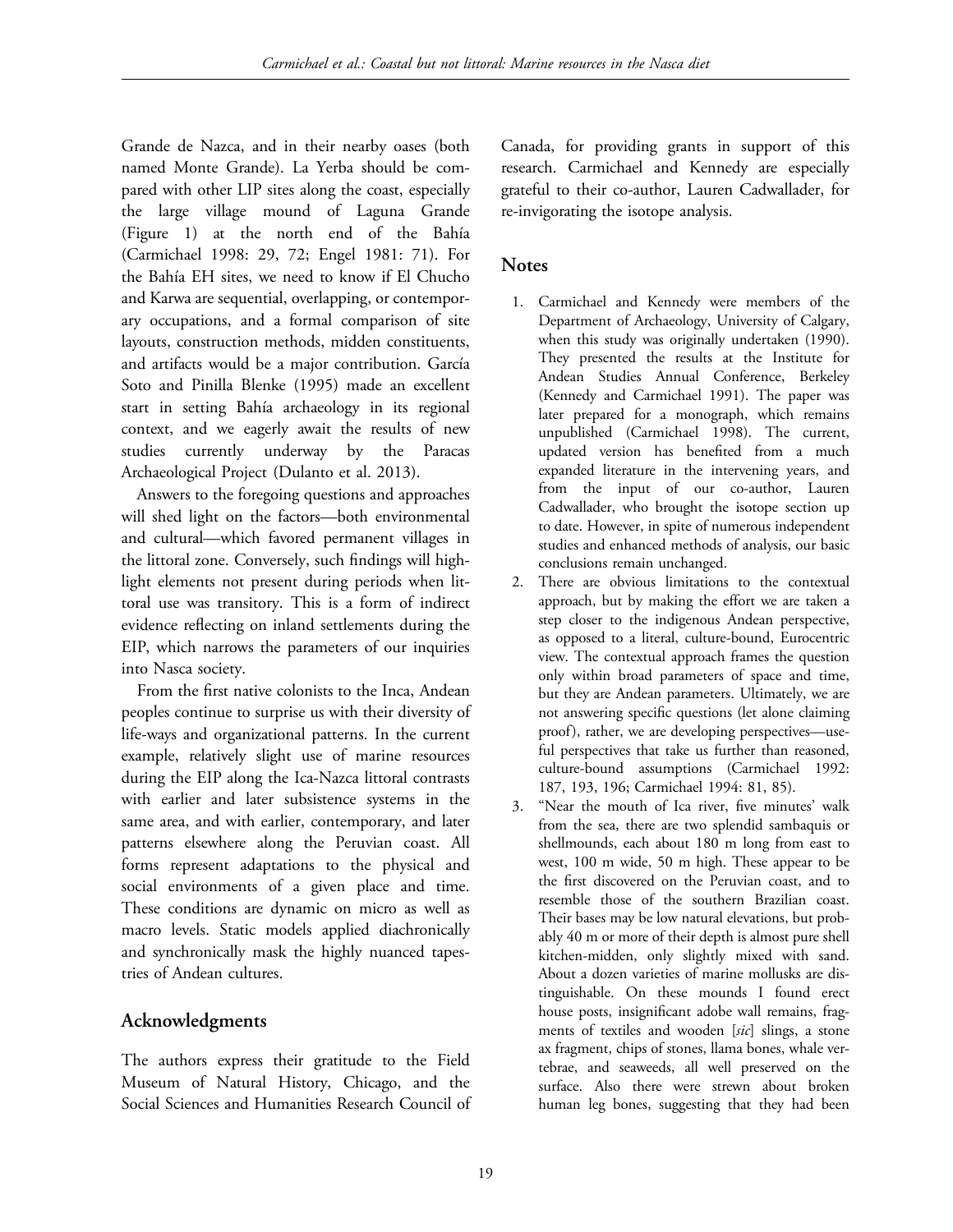Grande de Nazca, and in their nearby oases (both named Monte Grande). La Yerba should be compared with other LIP sites along the coast, especially the large village mound of Laguna Grande (Figure [1\)](#page-2-0) at the north end of the Bahía [\(Carmichael 1998](#page-18-0): 29, 72; [Engel 1981](#page-19-0): 71). For the Bahía EH sites, we need to know if El Chucho and Karwa are sequential, overlapping, or contemporary occupations, and a formal comparison of site layouts, construction methods, midden constituents, and artifacts would be a major contribution. [García](#page-19-0) [Soto and Pinilla Blenke \(1995\)](#page-19-0) made an excellent start in setting Bahía archaeology in its regional context, and we eagerly await the results of new studies currently underway by the Paracas Archaeological Project ([Dulanto et al. 2013](#page-19-0)).

Answers to the foregoing questions and approaches will shed light on the factors—both environmental and cultural—which favored permanent villages in the littoral zone. Conversely, such findings will highlight elements not present during periods when littoral use was transitory. This is a form of indirect evidence reflecting on inland settlements during the EIP, which narrows the parameters of our inquiries into Nasca society.

From the first native colonists to the Inca, Andean peoples continue to surprise us with their diversity of life-ways and organizational patterns. In the current example, relatively slight use of marine resources during the EIP along the Ica-Nazca littoral contrasts with earlier and later subsistence systems in the same area, and with earlier, contemporary, and later patterns elsewhere along the Peruvian coast. All forms represent adaptations to the physical and social environments of a given place and time. These conditions are dynamic on micro as well as macro levels. Static models applied diachronically and synchronically mask the highly nuanced tapestries of Andean cultures.

### Acknowledgments

The authors express their gratitude to the Field Museum of Natural History, Chicago, and the Social Sciences and Humanities Research Council of Canada, for providing grants in support of this research. Carmichael and Kennedy are especially grateful to their co-author, Lauren Cadwallader, for re-invigorating the isotope analysis.

### **Notes**

- 1. Carmichael and Kennedy were members of the Department of Archaeology, University of Calgary, when this study was originally undertaken (1990). They presented the results at the Institute for Andean Studies Annual Conference, Berkeley (Kennedy and Carmichael 1991). The paper was later prepared for a monograph, which remains unpublished [\(Carmichael 1998\)](#page-18-0). The current, updated version has benefited from a much expanded literature in the intervening years, and from the input of our co-author, Lauren Cadwallader, who brought the isotope section up to date. However, in spite of numerous independent studies and enhanced methods of analysis, our basic conclusions remain unchanged.
- 2. There are obvious limitations to the contextual approach, but by making the effort we are taken a step closer to the indigenous Andean perspective, as opposed to a literal, culture-bound, Eurocentric view. The contextual approach frames the question only within broad parameters of space and time, but they are Andean parameters. Ultimately, we are not answering specific questions (let alone claiming proof), rather, we are developing perspectives—useful perspectives that take us further than reasoned, culture-bound assumptions [\(Carmichael 1992:](#page-18-0) 187, 193, 196; [Carmichael 1994:](#page-18-0) 81, 85).
- 3. "Near the mouth of Ica river, five minutes' walk from the sea, there are two splendid sambaquis or shellmounds, each about 180 m long from east to west, 100 m wide, 50 m high. These appear to be the first discovered on the Peruvian coast, and to resemble those of the southern Brazilian coast. Their bases may be low natural elevations, but probably 40 m or more of their depth is almost pure shell kitchen-midden, only slightly mixed with sand. About a dozen varieties of marine mollusks are distinguishable. On these mounds I found erect house posts, insignificant adobe wall remains, fragments of textiles and wooden [sic] slings, a stone ax fragment, chips of stones, llama bones, whale vertebrae, and seaweeds, all well preserved on the surface. Also there were strewn about broken human leg bones, suggesting that they had been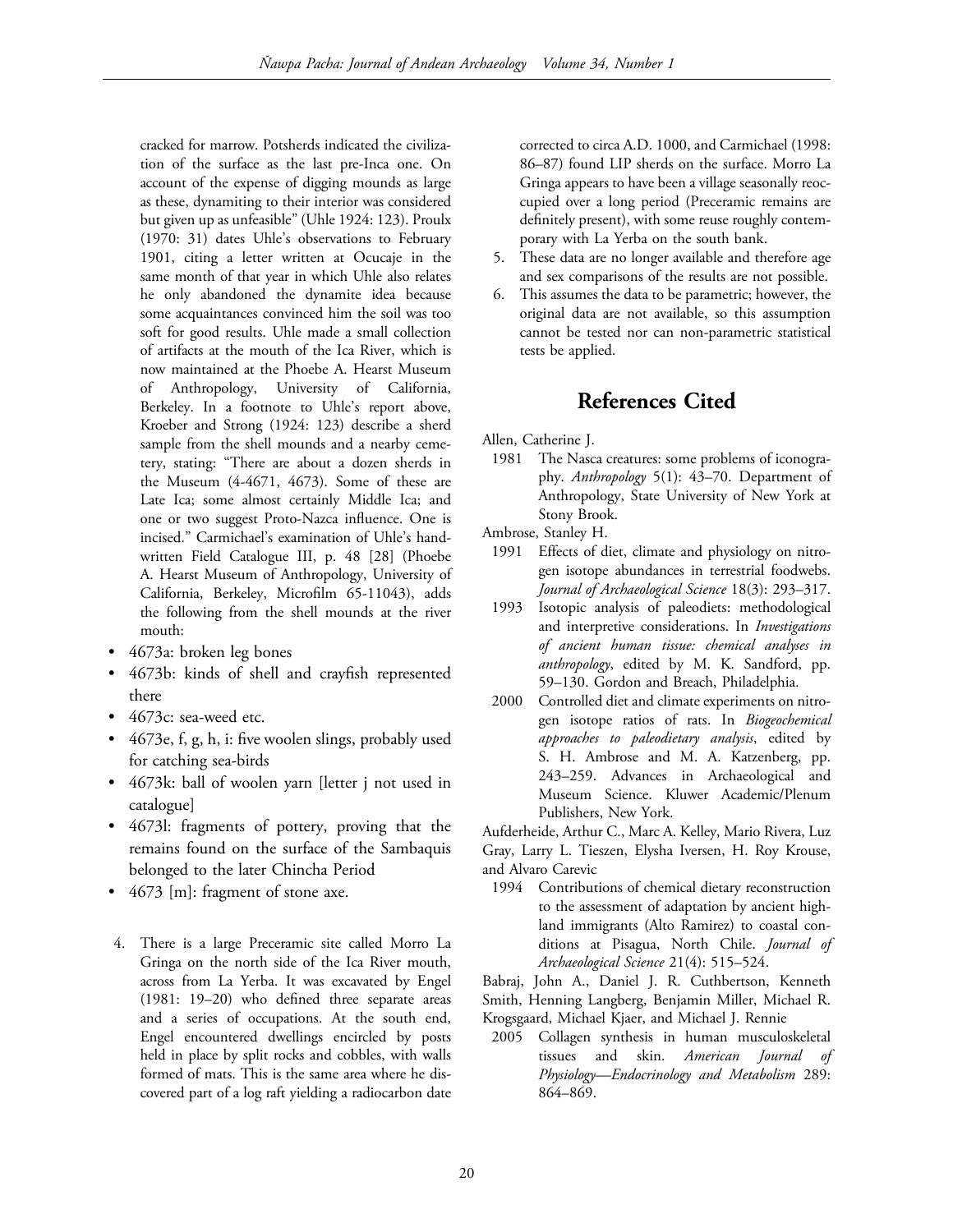<span id="page-17-0"></span>cracked for marrow. Potsherds indicated the civilization of the surface as the last pre-Inca one. On account of the expense of digging mounds as large as these, dynamiting to their interior was considered but given up as unfeasible" [\(Uhle 1924:](#page-23-0) 123). [Proulx](#page-21-0) [\(1970](#page-21-0): 31) dates Uhle's observations to February 1901, citing a letter written at Ocucaje in the same month of that year in which Uhle also relates he only abandoned the dynamite idea because some acquaintances convinced him the soil was too soft for good results. Uhle made a small collection of artifacts at the mouth of the Ica River, which is now maintained at the Phoebe A. Hearst Museum of Anthropology, University of California, Berkeley. In a footnote to Uhle's report above, [Kroeber and Strong \(1924](#page-20-0): 123) describe a sherd sample from the shell mounds and a nearby cemetery, stating: "There are about a dozen sherds in the Museum (4-4671, 4673). Some of these are Late Ica; some almost certainly Middle Ica; and one or two suggest Proto-Nazca influence. One is incised." Carmichael's examination of Uhle's handwritten Field Catalogue III, p. 48 [28] (Phoebe A. Hearst Museum of Anthropology, University of California, Berkeley, Microfilm 65-11043), adds the following from the shell mounds at the river mouth:

- 4673a: broken leg bones
- 4673b: kinds of shell and crayfish represented there
- 4673c: sea-weed etc.
- 4673e, f, g, h, i: five woolen slings, probably used for catching sea-birds
- 4673k: ball of woolen yarn [letter j not used in catalogue]
- 4673l: fragments of pottery, proving that the remains found on the surface of the Sambaquis belonged to the later Chincha Period
- 4673 [m]: fragment of stone axe.
- 4. There is a large Preceramic site called Morro La Gringa on the north side of the Ica River mouth, across from La Yerba. It was excavated by [Engel](#page-19-0) [\(1981](#page-19-0): 19–20) who defined three separate areas and a series of occupations. At the south end, Engel encountered dwellings encircled by posts held in place by split rocks and cobbles, with walls formed of mats. This is the same area where he discovered part of a log raft yielding a radiocarbon date

corrected to circa A.D. 1000, and [Carmichael \(1998](#page-18-0): 86–87) found LIP sherds on the surface. Morro La Gringa appears to have been a village seasonally reoccupied over a long period (Preceramic remains are definitely present), with some reuse roughly contemporary with La Yerba on the south bank.

- 5. These data are no longer available and therefore age and sex comparisons of the results are not possible.
- 6. This assumes the data to be parametric; however, the original data are not available, so this assumption cannot be tested nor can non-parametric statistical tests be applied.

# References Cited

Allen, Catherine J.

- 1981 The Nasca creatures: some problems of iconography. Anthropology 5(1): 43–70. Department of Anthropology, State University of New York at Stony Brook.
- Ambrose, Stanley H.
- 1991 Effects of diet, climate and physiology on nitrogen isotope abundances in terrestrial foodwebs. Journal of Archaeological Science 18(3): 293–317.
- 1993 Isotopic analysis of paleodiets: methodological and interpretive considerations. In *Investigations* of ancient human tissue: chemical analyses in anthropology, edited by M. K. Sandford, pp. 59–130. Gordon and Breach, Philadelphia.
- 2000 Controlled diet and climate experiments on nitrogen isotope ratios of rats. In Biogeochemical approaches to paleodietary analysis, edited by S. H. Ambrose and M. A. Katzenberg, pp. 243–259. Advances in Archaeological and Museum Science. Kluwer Academic/Plenum Publishers, New York.

Aufderheide, Arthur C., Marc A. Kelley, Mario Rivera, Luz Gray, Larry L. Tieszen, Elysha Iversen, H. Roy Krouse, and Alvaro Carevic

1994 Contributions of chemical dietary reconstruction to the assessment of adaptation by ancient highland immigrants (Alto Ramirez) to coastal conditions at Pisagua, North Chile. Journal of Archaeological Science 21(4): 515–524.

Babraj, John A., Daniel J. R. Cuthbertson, Kenneth Smith, Henning Langberg, Benjamin Miller, Michael R. Krogsgaard, Michael Kjaer, and Michael J. Rennie

2005 Collagen synthesis in human musculoskeletal tissues and skin. American Journal of Physiology—Endocrinology and Metabolism 289: 864–869.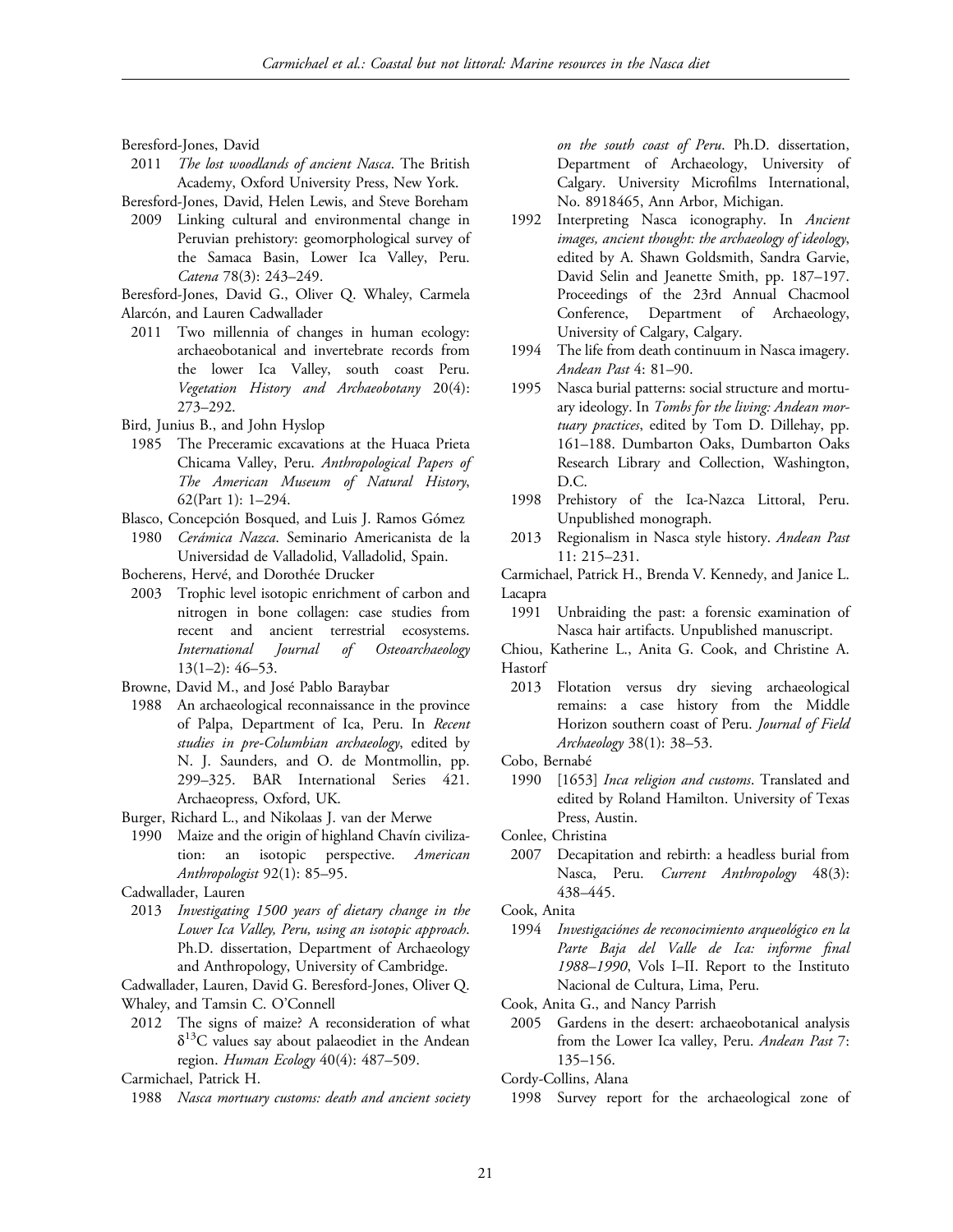<span id="page-18-0"></span>Beresford-Jones, David

2011 The lost woodlands of ancient Nasca. The British Academy, Oxford University Press, New York.

Beresford-Jones, David, Helen Lewis, and Steve Boreham

2009 Linking cultural and environmental change in Peruvian prehistory: geomorphological survey of the Samaca Basin, Lower Ica Valley, Peru. Catena 78(3): 243–249.

Beresford-Jones, David G., Oliver Q. Whaley, Carmela Alarcón, and Lauren Cadwallader

2011 Two millennia of changes in human ecology: archaeobotanical and invertebrate records from the lower Ica Valley, south coast Peru. Vegetation History and Archaeobotany 20(4): 273–292.

Bird, Junius B., and John Hyslop

- 1985 The Preceramic excavations at the Huaca Prieta Chicama Valley, Peru. Anthropological Papers of The American Museum of Natural History, 62(Part 1): 1–294.
- Blasco, Concepción Bosqued, and Luis J. Ramos Gómez
- 1980 Cerámica Nazca. Seminario Americanista de la Universidad de Valladolid, Valladolid, Spain.

Bocherens, Hervé, and Dorothée Drucker

2003 Trophic level isotopic enrichment of carbon and nitrogen in bone collagen: case studies from recent and ancient terrestrial ecosystems. International Journal of Osteoarchaeology  $13(1-2): 46-53.$ 

Browne, David M., and José Pablo Baraybar

1988 An archaeological reconnaissance in the province of Palpa, Department of Ica, Peru. In Recent studies in pre-Columbian archaeology, edited by N. J. Saunders, and O. de Montmollin, pp. 299–325. BAR International Series 421. Archaeopress, Oxford, UK.

Burger, Richard L., and Nikolaas J. van der Merwe

1990 Maize and the origin of highland Chavín civilization: an isotopic perspective. American Anthropologist 92(1): 85–95.

Cadwallader, Lauren

2013 Investigating 1500 years of dietary change in the Lower Ica Valley, Peru, using an isotopic approach. Ph.D. dissertation, Department of Archaeology and Anthropology, University of Cambridge.

Cadwallader, Lauren, David G. Beresford-Jones, Oliver Q. Whaley, and Tamsin C. O'Connell

2012 The signs of maize? A reconsideration of what  $\delta^{13}$ C values say about palaeodiet in the Andean region. Human Ecology 40(4): 487-509.

Carmichael, Patrick H.

on the south coast of Peru. Ph.D. dissertation, Department of Archaeology, University of Calgary. University Microfilms International, No. 8918465, Ann Arbor, Michigan.

- 1992 Interpreting Nasca iconography. In Ancient images, ancient thought: the archaeology of ideology, edited by A. Shawn Goldsmith, Sandra Garvie, David Selin and Jeanette Smith, pp. 187–197. Proceedings of the 23rd Annual Chacmool Conference, Department of Archaeology, University of Calgary, Calgary.
- 1994 The life from death continuum in Nasca imagery. Andean Past 4: 81–90.
- 1995 Nasca burial patterns: social structure and mortuary ideology. In Tombs for the living: Andean mortuary practices, edited by Tom D. Dillehay, pp. 161–188. Dumbarton Oaks, Dumbarton Oaks Research Library and Collection, Washington, D.C.
- 1998 Prehistory of the Ica-Nazca Littoral, Peru. Unpublished monograph.
- 2013 Regionalism in Nasca style history. Andean Past 11: 215–231.

Carmichael, Patrick H., Brenda V. Kennedy, and Janice L. Lacapra

1991 Unbraiding the past: a forensic examination of Nasca hair artifacts. Unpublished manuscript.

Chiou, Katherine L., Anita G. Cook, and Christine A. Hastorf

- 2013 Flotation versus dry sieving archaeological remains: a case history from the Middle Horizon southern coast of Peru. Journal of Field Archaeology 38(1): 38–53.
- Cobo, Bernabé
- 1990 [1653] Inca religion and customs. Translated and edited by Roland Hamilton. University of Texas Press, Austin.
- Conlee, Christina
	- 2007 Decapitation and rebirth: a headless burial from Nasca, Peru. Current Anthropology 48(3): 438–445.
- Cook, Anita
- 1994 Investigaciónes de reconocimiento arqueológico en la Parte Baja del Valle de Ica: informe final 1988–1990, Vols I–II. Report to the Instituto Nacional de Cultura, Lima, Peru.
- Cook, Anita G., and Nancy Parrish
- 2005 Gardens in the desert: archaeobotanical analysis from the Lower Ica valley, Peru. Andean Past 7: 135–156.
- Cordy-Collins, Alana

1998 Survey report for the archaeological zone of

<sup>1988</sup> Nasca mortuary customs: death and ancient society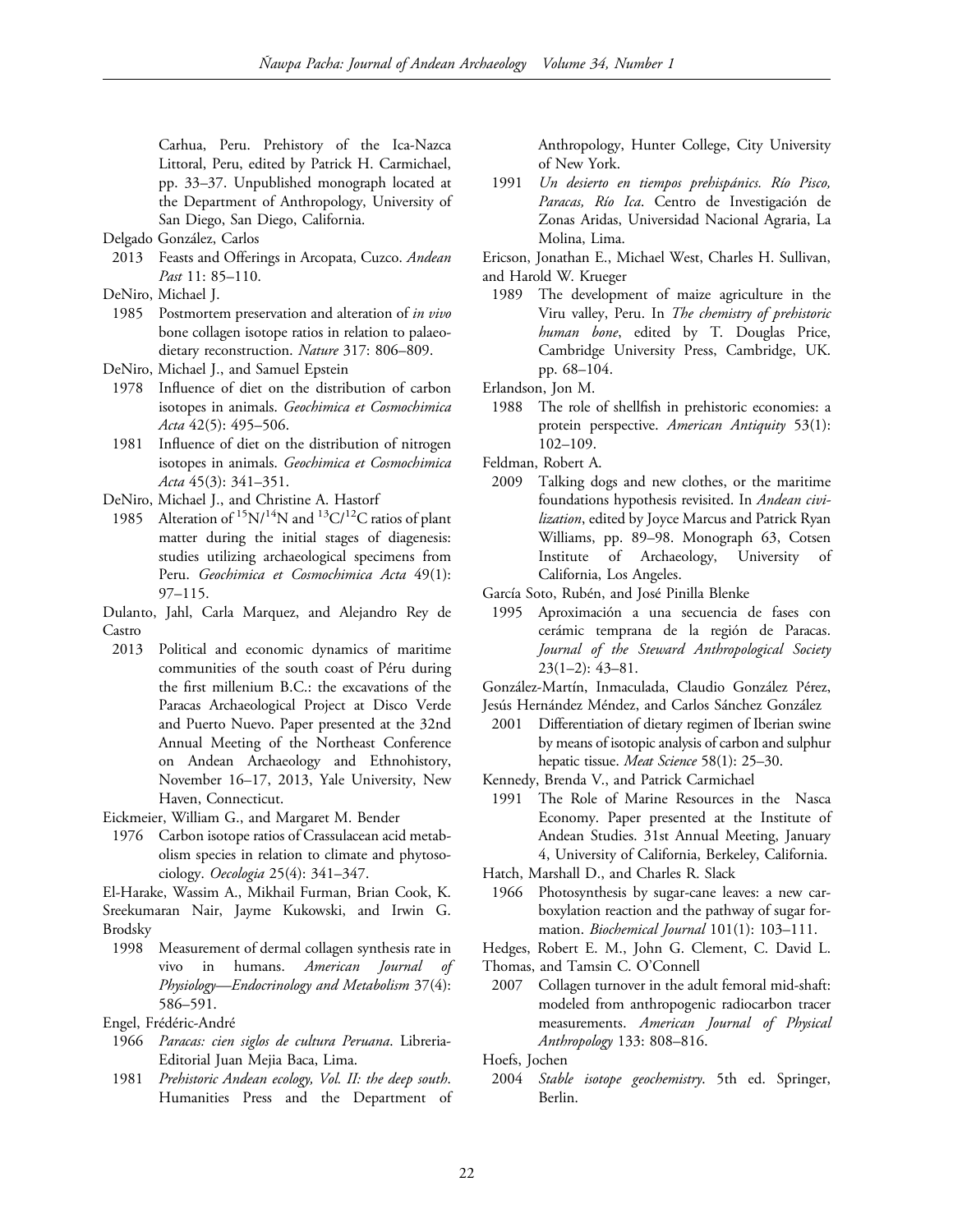<span id="page-19-0"></span>Carhua, Peru. Prehistory of the Ica-Nazca Littoral, Peru, edited by Patrick H. Carmichael, pp. 33–37. Unpublished monograph located at the Department of Anthropology, University of San Diego, San Diego, California.

Delgado González, Carlos

2013 Feasts and Offerings in Arcopata, Cuzco. Andean Past 11: 85-110.

DeNiro, Michael J.

1985 Postmortem preservation and alteration of in vivo bone collagen isotope ratios in relation to palaeodietary reconstruction. Nature 317: 806-809.

DeNiro, Michael J., and Samuel Epstein

- 1978 Influence of diet on the distribution of carbon isotopes in animals. Geochimica et Cosmochimica Acta 42(5): 495–506.
- 1981 Influence of diet on the distribution of nitrogen isotopes in animals. Geochimica et Cosmochimica Acta 45(3): 341–351.

DeNiro, Michael J., and Christine A. Hastorf

1985 Alteration of  $15N/14N$  and  $13C/12C$  ratios of plant matter during the initial stages of diagenesis: studies utilizing archaeological specimens from Peru. Geochimica et Cosmochimica Acta 49(1): 97–115.

Dulanto, Jahl, Carla Marquez, and Alejandro Rey de Castro

2013 Political and economic dynamics of maritime communities of the south coast of Péru during the first millenium B.C.: the excavations of the Paracas Archaeological Project at Disco Verde and Puerto Nuevo. Paper presented at the 32nd Annual Meeting of the Northeast Conference on Andean Archaeology and Ethnohistory, November 16–17, 2013, Yale University, New Haven, Connecticut.

Eickmeier, William G., and Margaret M. Bender

1976 Carbon isotope ratios of Crassulacean acid metabolism species in relation to climate and phytosociology. Oecologia 25(4): 341–347.

El-Harake, Wassim A., Mikhail Furman, Brian Cook, K. Sreekumaran Nair, Jayme Kukowski, and Irwin G. Brodsky

1998 Measurement of dermal collagen synthesis rate in vivo in humans. American Journal Physiology—Endocrinology and Metabolism 37(4): 586–591.

Engel, Frédéric-André

- 1966 Paracas: cien siglos de cultura Peruana. Libreria-Editorial Juan Mejia Baca, Lima.
- 1981 Prehistoric Andean ecology, Vol. II: the deep south. Humanities Press and the Department of

Anthropology, Hunter College, City University of New York.

1991 Un desierto en tiempos prehispánics. Río Pisco, Paracas, Río Ica. Centro de Investigación de Zonas Aridas, Universidad Nacional Agraria, La Molina, Lima.

Ericson, Jonathan E., Michael West, Charles H. Sullivan, and Harold W. Krueger

1989 The development of maize agriculture in the Viru valley, Peru. In The chemistry of prehistoric human bone, edited by T. Douglas Price, Cambridge University Press, Cambridge, UK. pp. 68–104.

Erlandson, Jon M.

1988 The role of shellfish in prehistoric economies: a protein perspective. American Antiquity 53(1): 102–109.

Feldman, Robert A.

2009 Talking dogs and new clothes, or the maritime foundations hypothesis revisited. In Andean civilization, edited by Joyce Marcus and Patrick Ryan Williams, pp. 89–98. Monograph 63, Cotsen Institute of Archaeology, University of California, Los Angeles.

García Soto, Rubén, and José Pinilla Blenke

1995 Aproximación a una secuencia de fases con cerámic temprana de la región de Paracas. Journal of the Steward Anthropological Society 23(1–2): 43–81.

González-Martín, Inmaculada, Claudio González Pérez, Jesús Hernández Méndez, and Carlos Sánchez González

2001 Differentiation of dietary regimen of Iberian swine by means of isotopic analysis of carbon and sulphur hepatic tissue. Meat Science 58(1): 25-30.

Kennedy, Brenda V., and Patrick Carmichael

1991 The Role of Marine Resources in the Nasca Economy. Paper presented at the Institute of Andean Studies. 31st Annual Meeting, January 4, University of California, Berkeley, California.

Hatch, Marshall D., and Charles R. Slack

1966 Photosynthesis by sugar-cane leaves: a new carboxylation reaction and the pathway of sugar formation. Biochemical Journal 101(1): 103–111.

Hedges, Robert E. M., John G. Clement, C. David L.

Thomas, and Tamsin C. O'Connell

2007 Collagen turnover in the adult femoral mid-shaft: modeled from anthropogenic radiocarbon tracer measurements. American Journal of Physical Anthropology 133: 808–816.

Hoefs, Jochen

2004 Stable isotope geochemistry. 5th ed. Springer, Berlin.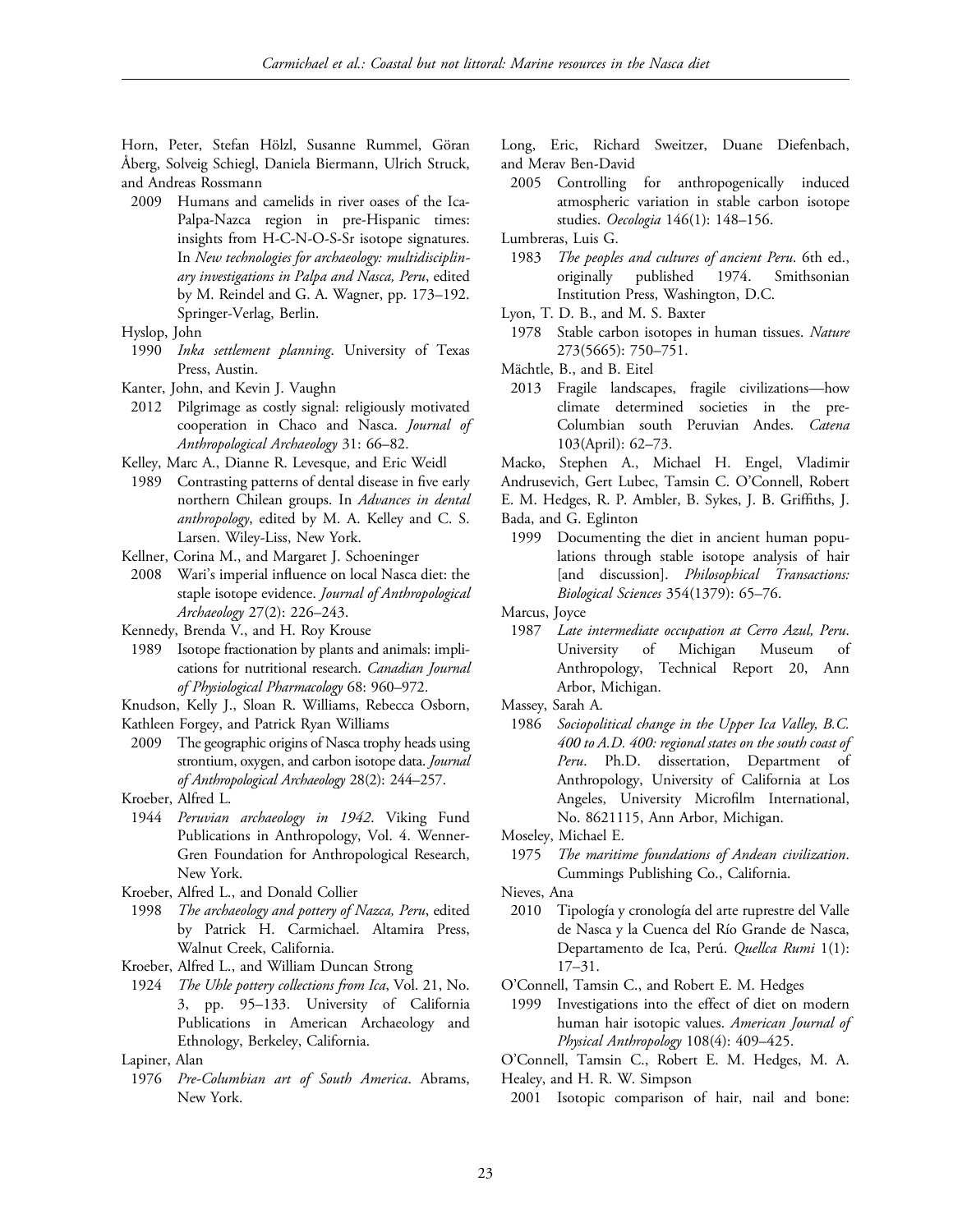<span id="page-20-0"></span>Horn, Peter, Stefan Hölzl, Susanne Rummel, Göran Åberg, Solveig Schiegl, Daniela Biermann, Ulrich Struck, and Andreas Rossmann

- 2009 Humans and camelids in river oases of the Ica-Palpa-Nazca region in pre-Hispanic times: insights from H-C-N-O-S-Sr isotope signatures. In New technologies for archaeology: multidisciplinary investigations in Palpa and Nasca, Peru, edited by M. Reindel and G. A. Wagner, pp. 173–192. Springer-Verlag, Berlin.
- Hyslop, John
- 1990 Inka settlement planning. University of Texas Press, Austin.
- Kanter, John, and Kevin J. Vaughn
- 2012 Pilgrimage as costly signal: religiously motivated cooperation in Chaco and Nasca. Journal of Anthropological Archaeology 31: 66–82.
- Kelley, Marc A., Dianne R. Levesque, and Eric Weidl
- 1989 Contrasting patterns of dental disease in five early northern Chilean groups. In Advances in dental anthropology, edited by M. A. Kelley and C. S. Larsen. Wiley-Liss, New York.
- Kellner, Corina M., and Margaret J. Schoeninger
- 2008 Wari's imperial influence on local Nasca diet: the staple isotope evidence. Journal of Anthropological Archaeology 27(2): 226–243.
- Kennedy, Brenda V., and H. Roy Krouse
- 1989 Isotope fractionation by plants and animals: implications for nutritional research. Canadian Journal of Physiological Pharmacology 68: 960–972.
- Knudson, Kelly J., Sloan R. Williams, Rebecca Osborn, Kathleen Forgey, and Patrick Ryan Williams
- 2009 The geographic origins of Nasca trophy heads using strontium, oxygen, and carbon isotope data. Journal of Anthropological Archaeology 28(2): 244–257.
- Kroeber, Alfred L.
- 1944 Peruvian archaeology in 1942. Viking Fund Publications in Anthropology, Vol. 4. Wenner-Gren Foundation for Anthropological Research, New York.
- Kroeber, Alfred L., and Donald Collier
- 1998 The archaeology and pottery of Nazca, Peru, edited by Patrick H. Carmichael. Altamira Press, Walnut Creek, California.
- Kroeber, Alfred L., and William Duncan Strong
- 1924 The Uhle pottery collections from Ica, Vol. 21, No. 3, pp. 95–133. University of California Publications in American Archaeology and Ethnology, Berkeley, California.
- Lapiner, Alan
- 1976 Pre-Columbian art of South America. Abrams, New York.

Long, Eric, Richard Sweitzer, Duane Diefenbach, and Merav Ben-David

- 2005 Controlling for anthropogenically induced atmospheric variation in stable carbon isotope studies. Oecologia 146(1): 148–156.
- Lumbreras, Luis G.
- 1983 The peoples and cultures of ancient Peru. 6th ed., originally published 1974. Smithsonian Institution Press, Washington, D.C.
- Lyon, T. D. B., and M. S. Baxter
- 1978 Stable carbon isotopes in human tissues. Nature 273(5665): 750–751.
- Mächtle, B., and B. Eitel
	- 2013 Fragile landscapes, fragile civilizations—how climate determined societies in the pre-Columbian south Peruvian Andes. Catena 103(April): 62–73.
- Macko, Stephen A., Michael H. Engel, Vladimir Andrusevich, Gert Lubec, Tamsin C. O'Connell, Robert E. M. Hedges, R. P. Ambler, B. Sykes, J. B. Griffiths, J.
- Bada, and G. Eglinton
	- 1999 Documenting the diet in ancient human populations through stable isotope analysis of hair [and discussion]. Philosophical Transactions: Biological Sciences 354(1379): 65–76.
- Marcus, Joyce
	- 1987 Late intermediate occupation at Cerro Azul, Peru. University of Michigan Museum of Anthropology, Technical Report 20, Ann Arbor, Michigan.
- Massey, Sarah A.
	- 1986 Sociopolitical change in the Upper Ica Valley, B.C. 400 to A.D. 400: regional states on the south coast of Peru. Ph.D. dissertation, Department of Anthropology, University of California at Los Angeles, University Microfilm International, No. 8621115, Ann Arbor, Michigan.
- Moseley, Michael E.
- 1975 The maritime foundations of Andean civilization. Cummings Publishing Co., California.
- Nieves, Ana
- 2010 Tipología y cronología del arte ruprestre del Valle de Nasca y la Cuenca del Río Grande de Nasca, Departamento de Ica, Perú. Quellca Rumi 1(1): 17–31.
- O'Connell, Tamsin C., and Robert E. M. Hedges
- 1999 Investigations into the effect of diet on modern human hair isotopic values. American Journal of Physical Anthropology 108(4): 409–425.
- O'Connell, Tamsin C., Robert E. M. Hedges, M. A.
- Healey, and H. R. W. Simpson
- 2001 Isotopic comparison of hair, nail and bone: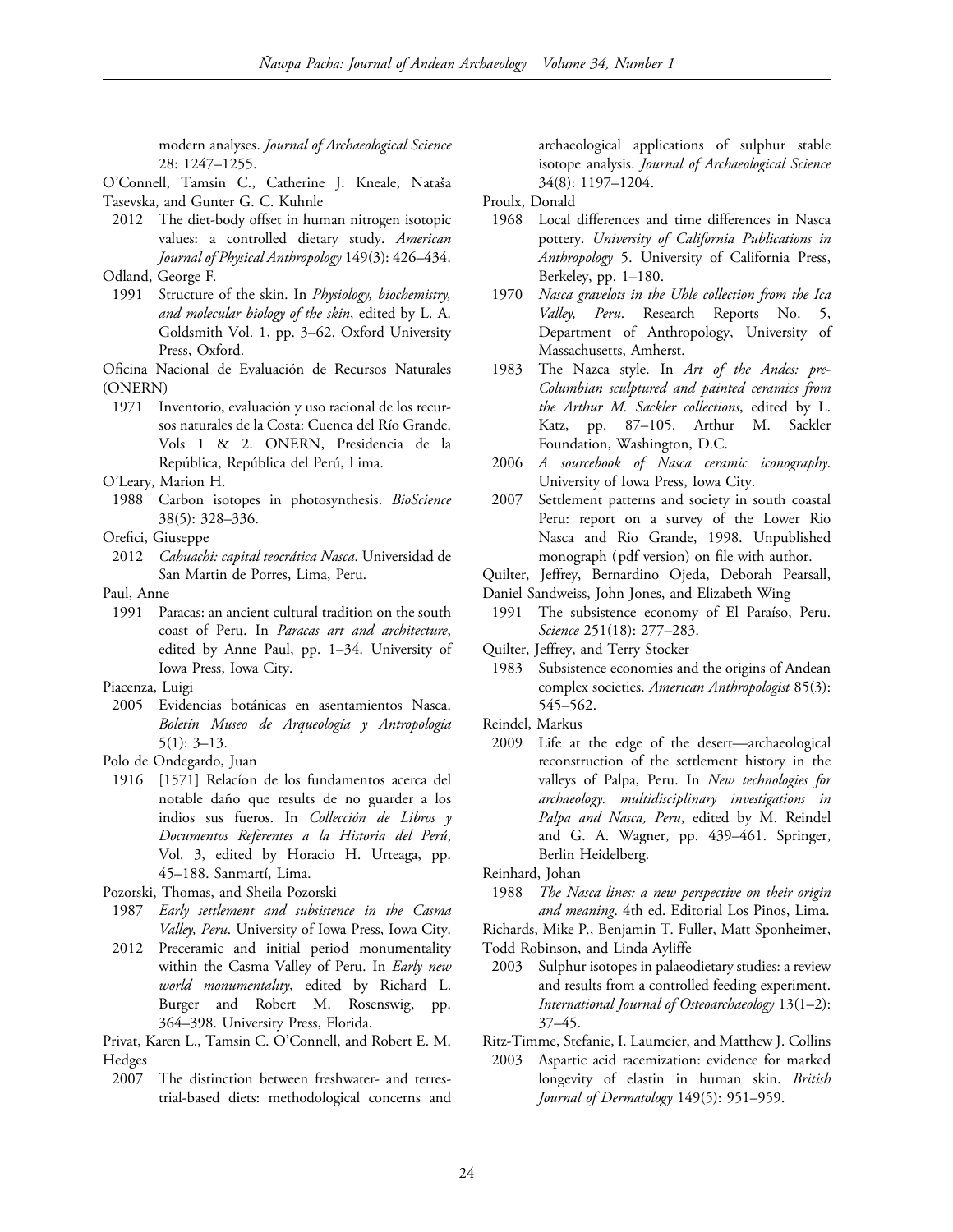modern analyses. Journal of Archaeological Science 28: 1247–1255.

- <span id="page-21-0"></span>O'Connell, Tamsin C., Catherine J. Kneale, Nataša Tasevska, and Gunter G. C. Kuhnle
- 2012 The diet-body offset in human nitrogen isotopic values: a controlled dietary study. American Journal of Physical Anthropology 149(3): 426–434. Odland, George F.
- 1991 Structure of the skin. In Physiology, biochemistry, and molecular biology of the skin, edited by L. A. Goldsmith Vol. 1, pp. 3–62. Oxford University Press, Oxford.
- Oficina Nacional de Evaluación de Recursos Naturales (ONERN)
- 1971 Inventorio, evaluación y uso racional de los recursos naturales de la Costa: Cuenca del Río Grande. Vols 1 & 2. ONERN, Presidencia de la República, República del Perú, Lima.
- O'Leary, Marion H.
- 1988 Carbon isotopes in photosynthesis. BioScience 38(5): 328–336.
- Orefici, Giuseppe
- 2012 Cahuachi: capital teocrática Nasca. Universidad de San Martin de Porres, Lima, Peru.
- Paul, Anne
- 1991 Paracas: an ancient cultural tradition on the south coast of Peru. In Paracas art and architecture, edited by Anne Paul, pp. 1–34. University of Iowa Press, Iowa City.
- Piacenza, Luigi
- 2005 Evidencias botánicas en asentamientos Nasca. Boletín Museo de Arqueología y Antropología 5(1): 3–13.
- Polo de Ondegardo, Juan
- 1916 [1571] Relacíon de los fundamentos acerca del notable daño que results de no guarder a los indios sus fueros. In Collección de Libros y Documentos Referentes a la Historia del Perú, Vol. 3, edited by Horacio H. Urteaga, pp. 45–188. Sanmartí, Lima.
- Pozorski, Thomas, and Sheila Pozorski
- 1987 Early settlement and subsistence in the Casma Valley, Peru. University of Iowa Press, Iowa City.
- 2012 Preceramic and initial period monumentality within the Casma Valley of Peru. In Early new world monumentality, edited by Richard L. Burger and Robert M. Rosenswig, pp. 364–398. University Press, Florida.
- Privat, Karen L., Tamsin C. O'Connell, and Robert E. M. Hedges
- 2007 The distinction between freshwater- and terrestrial-based diets: methodological concerns and

archaeological applications of sulphur stable isotope analysis. Journal of Archaeological Science 34(8): 1197–1204.

Proulx, Donald

- 1968 Local differences and time differences in Nasca pottery. University of California Publications in Anthropology 5. University of California Press, Berkeley, pp. 1–180.
- 1970 Nasca gravelots in the Uhle collection from the Ica Valley, Peru. Research Reports No. 5, Department of Anthropology, University of Massachusetts, Amherst.
- 1983 The Nazca style. In Art of the Andes: pre-Columbian sculptured and painted ceramics from the Arthur M. Sackler collections, edited by L. Katz, pp. 87–105. Arthur M. Sackler Foundation, Washington, D.C.
- 2006 A sourcebook of Nasca ceramic iconography. University of Iowa Press, Iowa City.
- 2007 Settlement patterns and society in south coastal Peru: report on a survey of the Lower Rio Nasca and Rio Grande, 1998. Unpublished monograph ( pdf version) on file with author.
- Quilter, Jeffrey, Bernardino Ojeda, Deborah Pearsall,
- Daniel Sandweiss, John Jones, and Elizabeth Wing
- 1991 The subsistence economy of El Paraíso, Peru. Science 251(18): 277-283.

Quilter, Jeffrey, and Terry Stocker

- 1983 Subsistence economies and the origins of Andean complex societies. American Anthropologist 85(3): 545–562.
- Reindel, Markus
- 2009 Life at the edge of the desert—archaeological reconstruction of the settlement history in the valleys of Palpa, Peru. In New technologies for archaeology: multidisciplinary investigations in Palpa and Nasca, Peru, edited by M. Reindel and G. A. Wagner, pp. 439–461. Springer, Berlin Heidelberg.

Reinhard, Johan

1988 The Nasca lines: a new perspective on their origin and meaning. 4th ed. Editorial Los Pinos, Lima.

Richards, Mike P., Benjamin T. Fuller, Matt Sponheimer,

Todd Robinson, and Linda Ayliffe

- 2003 Sulphur isotopes in palaeodietary studies: a review and results from a controlled feeding experiment. International Journal of Osteoarchaeology 13(1–2): 37–45.
- Ritz-Timme, Stefanie, I. Laumeier, and Matthew J. Collins
- 2003 Aspartic acid racemization: evidence for marked longevity of elastin in human skin. British Journal of Dermatology 149(5): 951–959.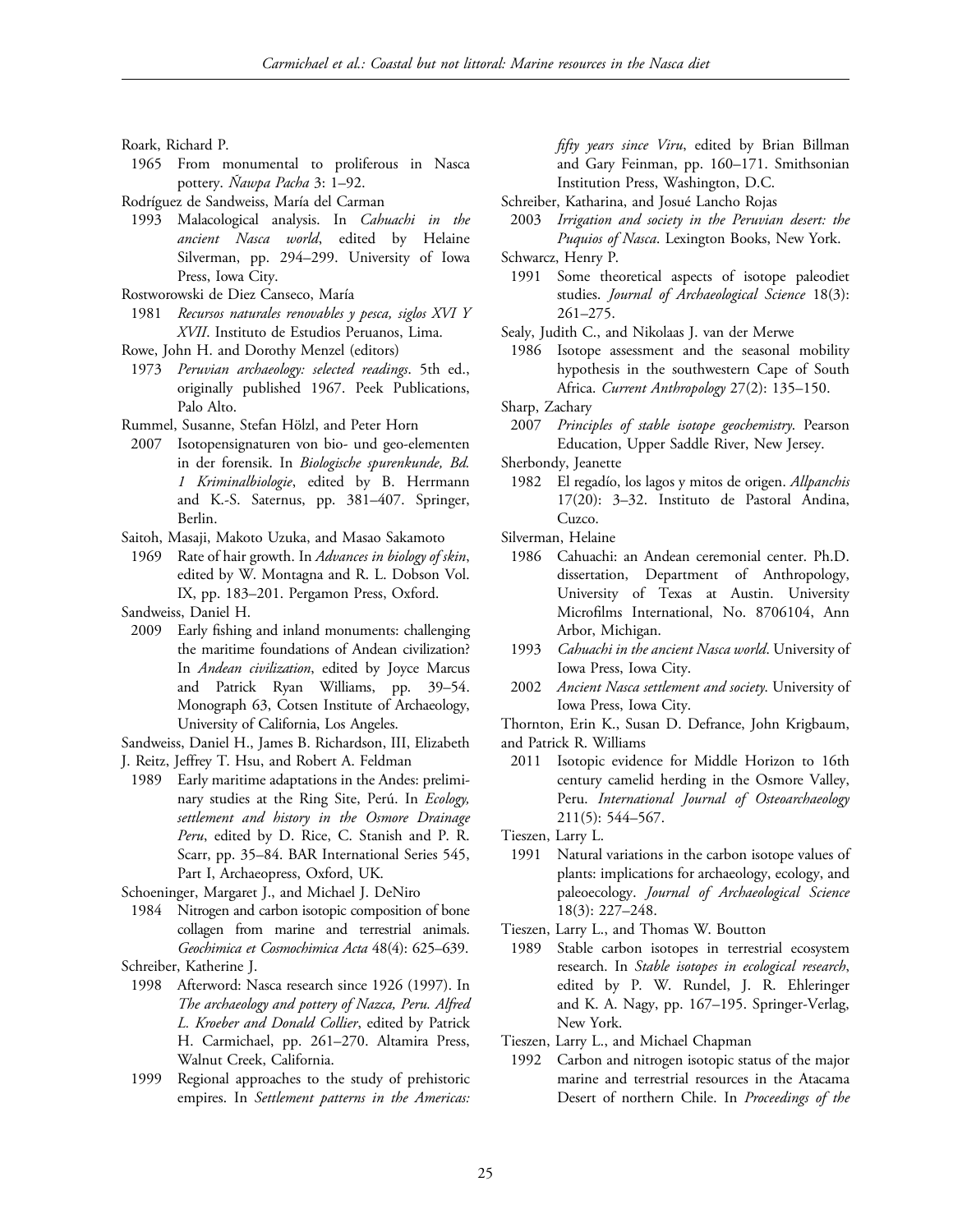<span id="page-22-0"></span>Roark, Richard P.

1965 From monumental to proliferous in Nasca pottery. Ñawpa Pacha 3: 1–92.

Rodríguez de Sandweiss, María del Carman

- 1993 Malacological analysis. In Cahuachi in the ancient Nasca world, edited by Helaine Silverman, pp. 294–299. University of Iowa Press, Iowa City.
- Rostworowski de Diez Canseco, María
- 1981 Recursos naturales renovables y pesca, siglos XVI Y XVII. Instituto de Estudios Peruanos, Lima.
- Rowe, John H. and Dorothy Menzel (editors)
- 1973 Peruvian archaeology: selected readings. 5th ed., originally published 1967. Peek Publications, Palo Alto.

Rummel, Susanne, Stefan Hölzl, and Peter Horn

- 2007 Isotopensignaturen von bio- und geo-elementen in der forensik. In Biologische spurenkunde, Bd. 1 Kriminalbiologie, edited by B. Herrmann and K.-S. Saternus, pp. 381–407. Springer, Berlin.
- Saitoh, Masaji, Makoto Uzuka, and Masao Sakamoto
- 1969 Rate of hair growth. In Advances in biology of skin, edited by W. Montagna and R. L. Dobson Vol. IX, pp. 183–201. Pergamon Press, Oxford.

Sandweiss, Daniel H.

2009 Early fishing and inland monuments: challenging the maritime foundations of Andean civilization? In Andean civilization, edited by Joyce Marcus and Patrick Ryan Williams, pp. 39–54. Monograph 63, Cotsen Institute of Archaeology, University of California, Los Angeles.

Sandweiss, Daniel H., James B. Richardson, III, Elizabeth J. Reitz, Jeffrey T. Hsu, and Robert A. Feldman

1989 Early maritime adaptations in the Andes: preliminary studies at the Ring Site, Perú. In Ecology, settlement and history in the Osmore Drainage Peru, edited by D. Rice, C. Stanish and P. R. Scarr, pp. 35–84. BAR International Series 545, Part I, Archaeopress, Oxford, UK.

Schoeninger, Margaret J., and Michael J. DeNiro

- 1984 Nitrogen and carbon isotopic composition of bone collagen from marine and terrestrial animals. Geochimica et Cosmochimica Acta 48(4): 625–639. Schreiber, Katherine J.
- 1998 Afterword: Nasca research since 1926 (1997). In The archaeology and pottery of Nazca, Peru. Alfred L. Kroeber and Donald Collier, edited by Patrick H. Carmichael, pp. 261–270. Altamira Press, Walnut Creek, California.
- 1999 Regional approaches to the study of prehistoric empires. In Settlement patterns in the Americas:

fifty years since Viru, edited by Brian Billman and Gary Feinman, pp. 160–171. Smithsonian Institution Press, Washington, D.C.

Schreiber, Katharina, and Josué Lancho Rojas

2003 Irrigation and society in the Peruvian desert: the Puquios of Nasca. Lexington Books, New York.

Schwarcz, Henry P.

1991 Some theoretical aspects of isotope paleodiet studies. Journal of Archaeological Science 18(3): 261–275.

Sealy, Judith C., and Nikolaas J. van der Merwe

1986 Isotope assessment and the seasonal mobility hypothesis in the southwestern Cape of South Africa. Current Anthropology 27(2): 135–150.

Sharp, Zachary

2007 Principles of stable isotope geochemistry. Pearson Education, Upper Saddle River, New Jersey.

Sherbondy, Jeanette

1982 El regadío, los lagos y mitos de origen. Allpanchis 17(20): 3–32. Instituto de Pastoral Andina, Cuzco.

Silverman, Helaine

- 1986 Cahuachi: an Andean ceremonial center. Ph.D. dissertation, Department of Anthropology, University of Texas at Austin. University Microfilms International, No. 8706104, Ann Arbor, Michigan.
- 1993 Cahuachi in the ancient Nasca world. University of Iowa Press, Iowa City.
- 2002 Ancient Nasca settlement and society. University of Iowa Press, Iowa City.

Thornton, Erin K., Susan D. Defrance, John Krigbaum, and Patrick R. Williams

2011 Isotopic evidence for Middle Horizon to 16th century camelid herding in the Osmore Valley, Peru. International Journal of Osteoarchaeology 211(5): 544–567.

Tieszen, Larry L.

1991 Natural variations in the carbon isotope values of plants: implications for archaeology, ecology, and paleoecology. Journal of Archaeological Science 18(3): 227–248.

Tieszen, Larry L., and Thomas W. Boutton

1989 Stable carbon isotopes in terrestrial ecosystem research. In Stable isotopes in ecological research, edited by P. W. Rundel, J. R. Ehleringer and K. A. Nagy, pp. 167–195. Springer-Verlag, New York.

Tieszen, Larry L., and Michael Chapman

1992 Carbon and nitrogen isotopic status of the major marine and terrestrial resources in the Atacama Desert of northern Chile. In Proceedings of the